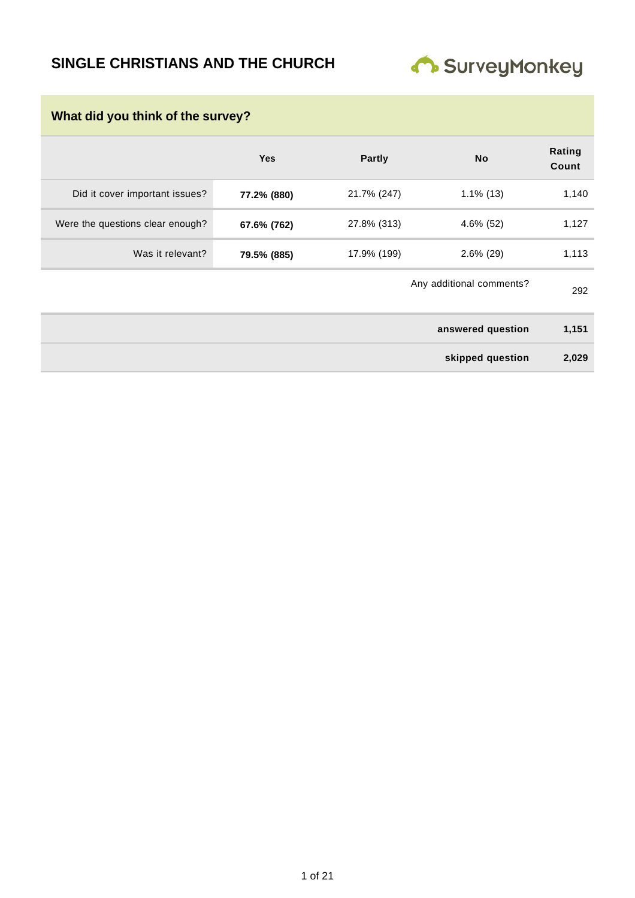# **SINGLE CHRISTIANS AND THE CHURCH**



| What did you think of the survey? |             |               |                          |                 |  |
|-----------------------------------|-------------|---------------|--------------------------|-----------------|--|
|                                   | <b>Yes</b>  | <b>Partly</b> | <b>No</b>                | Rating<br>Count |  |
| Did it cover important issues?    | 77.2% (880) | 21.7% (247)   | $1.1\%$ (13)             | 1,140           |  |
| Were the questions clear enough?  | 67.6% (762) | 27.8% (313)   | $4.6\%$ (52)             | 1,127           |  |
| Was it relevant?                  | 79.5% (885) | 17.9% (199)   | $2.6\%$ (29)             | 1,113           |  |
|                                   |             |               | Any additional comments? | 292             |  |
|                                   |             |               | answered question        | 1,151           |  |
|                                   |             |               | skipped question         | 2,029           |  |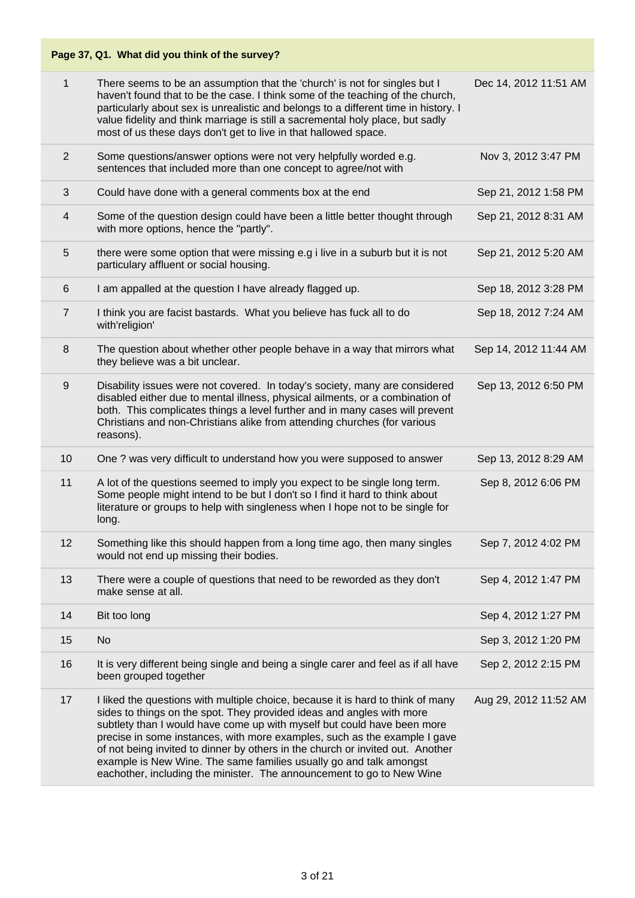| $\mathbf{1}$   | There seems to be an assumption that the 'church' is not for singles but I<br>haven't found that to be the case. I think some of the teaching of the church,<br>particularly about sex is unrealistic and belongs to a different time in history. I<br>value fidelity and think marriage is still a sacremental holy place, but sadly<br>most of us these days don't get to live in that hallowed space.                                                                                                                                          | Dec 14, 2012 11:51 AM |
|----------------|---------------------------------------------------------------------------------------------------------------------------------------------------------------------------------------------------------------------------------------------------------------------------------------------------------------------------------------------------------------------------------------------------------------------------------------------------------------------------------------------------------------------------------------------------|-----------------------|
| $\overline{2}$ | Some questions/answer options were not very helpfully worded e.g.<br>sentences that included more than one concept to agree/not with                                                                                                                                                                                                                                                                                                                                                                                                              | Nov 3, 2012 3:47 PM   |
| 3              | Could have done with a general comments box at the end                                                                                                                                                                                                                                                                                                                                                                                                                                                                                            | Sep 21, 2012 1:58 PM  |
| 4              | Some of the question design could have been a little better thought through<br>with more options, hence the "partly".                                                                                                                                                                                                                                                                                                                                                                                                                             | Sep 21, 2012 8:31 AM  |
| 5              | there were some option that were missing e.g i live in a suburb but it is not<br>particulary affluent or social housing.                                                                                                                                                                                                                                                                                                                                                                                                                          | Sep 21, 2012 5:20 AM  |
| 6              | I am appalled at the question I have already flagged up.                                                                                                                                                                                                                                                                                                                                                                                                                                                                                          | Sep 18, 2012 3:28 PM  |
| $\overline{7}$ | I think you are facist bastards. What you believe has fuck all to do<br>with'religion'                                                                                                                                                                                                                                                                                                                                                                                                                                                            | Sep 18, 2012 7:24 AM  |
| 8              | The question about whether other people behave in a way that mirrors what<br>they believe was a bit unclear.                                                                                                                                                                                                                                                                                                                                                                                                                                      | Sep 14, 2012 11:44 AM |
| 9              | Disability issues were not covered. In today's society, many are considered<br>disabled either due to mental illness, physical ailments, or a combination of<br>both. This complicates things a level further and in many cases will prevent<br>Christians and non-Christians alike from attending churches (for various<br>reasons).                                                                                                                                                                                                             | Sep 13, 2012 6:50 PM  |
| 10             | One ? was very difficult to understand how you were supposed to answer                                                                                                                                                                                                                                                                                                                                                                                                                                                                            | Sep 13, 2012 8:29 AM  |
| 11             | A lot of the questions seemed to imply you expect to be single long term.<br>Some people might intend to be but I don't so I find it hard to think about<br>literature or groups to help with singleness when I hope not to be single for<br>long.                                                                                                                                                                                                                                                                                                | Sep 8, 2012 6:06 PM   |
| 12             | Something like this should happen from a long time ago, then many singles<br>would not end up missing their bodies.                                                                                                                                                                                                                                                                                                                                                                                                                               | Sep 7, 2012 4:02 PM   |
| 13             | There were a couple of questions that need to be reworded as they don't<br>make sense at all.                                                                                                                                                                                                                                                                                                                                                                                                                                                     | Sep 4, 2012 1:47 PM   |
| 14             | Bit too long                                                                                                                                                                                                                                                                                                                                                                                                                                                                                                                                      | Sep 4, 2012 1:27 PM   |
| 15             | <b>No</b>                                                                                                                                                                                                                                                                                                                                                                                                                                                                                                                                         | Sep 3, 2012 1:20 PM   |
| 16             | It is very different being single and being a single carer and feel as if all have<br>been grouped together                                                                                                                                                                                                                                                                                                                                                                                                                                       | Sep 2, 2012 2:15 PM   |
| 17             | I liked the questions with multiple choice, because it is hard to think of many<br>sides to things on the spot. They provided ideas and angles with more<br>subtlety than I would have come up with myself but could have been more<br>precise in some instances, with more examples, such as the example I gave<br>of not being invited to dinner by others in the church or invited out. Another<br>example is New Wine. The same families usually go and talk amongst<br>eachother, including the minister. The announcement to go to New Wine | Aug 29, 2012 11:52 AM |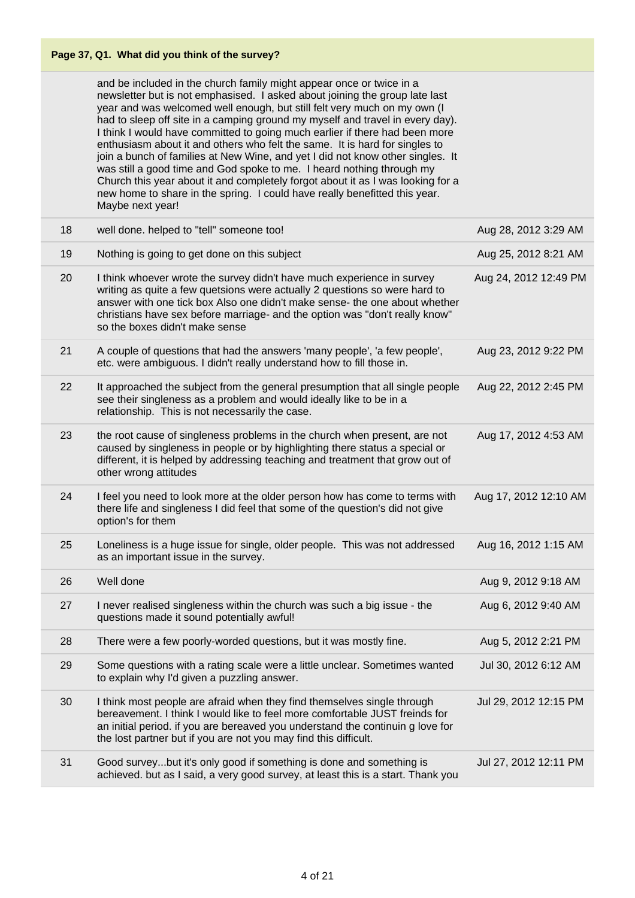and be included in the church family might appear once or twice in a newsletter but is not emphasised. I asked about joining the group late last year and was welcomed well enough, but still felt very much on my own (I had to sleep off site in a camping ground my myself and travel in every day). I think I would have committed to going much earlier if there had been more enthusiasm about it and others who felt the same. It is hard for singles to join a bunch of families at New Wine, and yet I did not know other singles. It was still a good time and God spoke to me. I heard nothing through my Church this year about it and completely forgot about it as I was looking for a new home to share in the spring. I could have really benefitted this year. Maybe next year!

| 18 | well done. helped to "tell" someone too!                                                                                                                                                                                                                                                                                                            | Aug 28, 2012 3:29 AM  |
|----|-----------------------------------------------------------------------------------------------------------------------------------------------------------------------------------------------------------------------------------------------------------------------------------------------------------------------------------------------------|-----------------------|
| 19 | Nothing is going to get done on this subject                                                                                                                                                                                                                                                                                                        | Aug 25, 2012 8:21 AM  |
| 20 | I think whoever wrote the survey didn't have much experience in survey<br>writing as quite a few quetsions were actually 2 questions so were hard to<br>answer with one tick box Also one didn't make sense- the one about whether<br>christians have sex before marriage- and the option was "don't really know"<br>so the boxes didn't make sense | Aug 24, 2012 12:49 PM |
| 21 | A couple of questions that had the answers 'many people', 'a few people',<br>etc. were ambiguous. I didn't really understand how to fill those in.                                                                                                                                                                                                  | Aug 23, 2012 9:22 PM  |
| 22 | It approached the subject from the general presumption that all single people<br>see their singleness as a problem and would ideally like to be in a<br>relationship. This is not necessarily the case.                                                                                                                                             | Aug 22, 2012 2:45 PM  |
| 23 | the root cause of singleness problems in the church when present, are not<br>caused by singleness in people or by highlighting there status a special or<br>different, it is helped by addressing teaching and treatment that grow out of<br>other wrong attitudes                                                                                  | Aug 17, 2012 4:53 AM  |
| 24 | I feel you need to look more at the older person how has come to terms with<br>there life and singleness I did feel that some of the question's did not give<br>option's for them                                                                                                                                                                   | Aug 17, 2012 12:10 AM |
| 25 | Loneliness is a huge issue for single, older people. This was not addressed<br>as an important issue in the survey.                                                                                                                                                                                                                                 | Aug 16, 2012 1:15 AM  |
| 26 | Well done                                                                                                                                                                                                                                                                                                                                           | Aug 9, 2012 9:18 AM   |
| 27 | I never realised singleness within the church was such a big issue - the<br>questions made it sound potentially awful!                                                                                                                                                                                                                              | Aug 6, 2012 9:40 AM   |
| 28 | There were a few poorly-worded questions, but it was mostly fine.                                                                                                                                                                                                                                                                                   | Aug 5, 2012 2:21 PM   |
| 29 | Some questions with a rating scale were a little unclear. Sometimes wanted<br>to explain why I'd given a puzzling answer.                                                                                                                                                                                                                           | Jul 30, 2012 6:12 AM  |
| 30 | I think most people are afraid when they find themselves single through<br>bereavement. I think I would like to feel more comfortable JUST freinds for<br>an initial period. if you are bereaved you understand the continuin g love for<br>the lost partner but if you are not you may find this difficult.                                        | Jul 29, 2012 12:15 PM |
| 31 | Good surveybut it's only good if something is done and something is<br>achieved. but as I said, a very good survey, at least this is a start. Thank you                                                                                                                                                                                             | Jul 27, 2012 12:11 PM |
|    |                                                                                                                                                                                                                                                                                                                                                     |                       |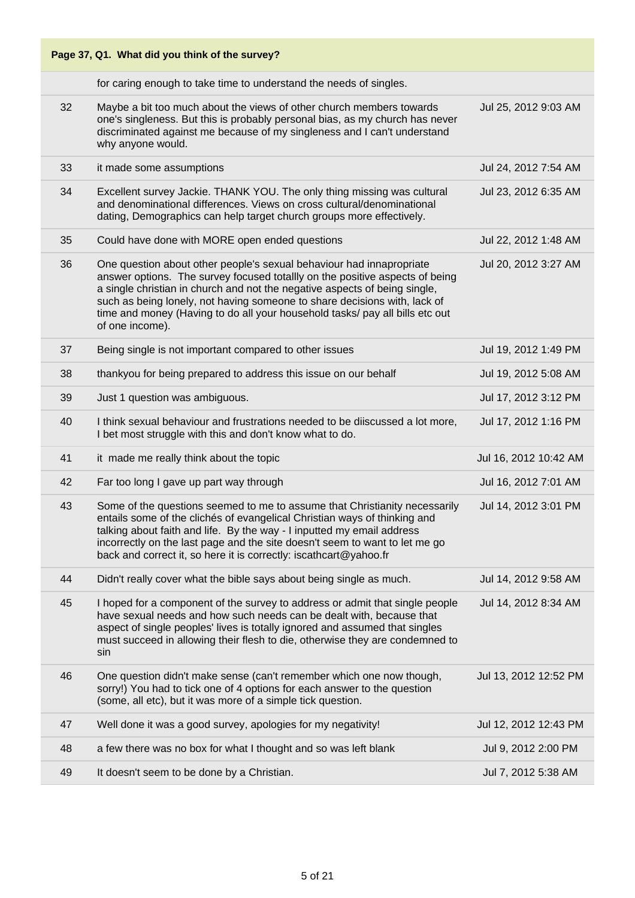|    | Page 37, Q1. What did you think of the survey?                                                                                                                                                                                                                                                                                                                                                                     |                       |
|----|--------------------------------------------------------------------------------------------------------------------------------------------------------------------------------------------------------------------------------------------------------------------------------------------------------------------------------------------------------------------------------------------------------------------|-----------------------|
|    | for caring enough to take time to understand the needs of singles.                                                                                                                                                                                                                                                                                                                                                 |                       |
| 32 | Maybe a bit too much about the views of other church members towards<br>one's singleness. But this is probably personal bias, as my church has never<br>discriminated against me because of my singleness and I can't understand<br>why anyone would.                                                                                                                                                              | Jul 25, 2012 9:03 AM  |
| 33 | it made some assumptions                                                                                                                                                                                                                                                                                                                                                                                           | Jul 24, 2012 7:54 AM  |
| 34 | Excellent survey Jackie. THANK YOU. The only thing missing was cultural<br>and denominational differences. Views on cross cultural/denominational<br>dating, Demographics can help target church groups more effectively.                                                                                                                                                                                          | Jul 23, 2012 6:35 AM  |
| 35 | Could have done with MORE open ended questions                                                                                                                                                                                                                                                                                                                                                                     | Jul 22, 2012 1:48 AM  |
| 36 | One question about other people's sexual behaviour had innapropriate<br>answer options. The survey focused totallly on the positive aspects of being<br>a single christian in church and not the negative aspects of being single,<br>such as being lonely, not having someone to share decisions with, lack of<br>time and money (Having to do all your household tasks/ pay all bills etc out<br>of one income). | Jul 20, 2012 3:27 AM  |
| 37 | Being single is not important compared to other issues                                                                                                                                                                                                                                                                                                                                                             | Jul 19, 2012 1:49 PM  |
| 38 | thankyou for being prepared to address this issue on our behalf                                                                                                                                                                                                                                                                                                                                                    | Jul 19, 2012 5:08 AM  |
| 39 | Just 1 question was ambiguous.                                                                                                                                                                                                                                                                                                                                                                                     | Jul 17, 2012 3:12 PM  |
| 40 | I think sexual behaviour and frustrations needed to be diiscussed a lot more,<br>I bet most struggle with this and don't know what to do.                                                                                                                                                                                                                                                                          | Jul 17, 2012 1:16 PM  |
| 41 | it made me really think about the topic                                                                                                                                                                                                                                                                                                                                                                            | Jul 16, 2012 10:42 AM |
| 42 | Far too long I gave up part way through                                                                                                                                                                                                                                                                                                                                                                            | Jul 16, 2012 7:01 AM  |
| 43 | Some of the questions seemed to me to assume that Christianity necessarily<br>entails some of the clichés of evangelical Christian ways of thinking and<br>talking about faith and life. By the way - I inputted my email address<br>incorrectly on the last page and the site doesn't seem to want to let me go<br>back and correct it, so here it is correctly: iscathcart@yahoo.fr                              | Jul 14, 2012 3:01 PM  |
| 44 | Didn't really cover what the bible says about being single as much.                                                                                                                                                                                                                                                                                                                                                | Jul 14, 2012 9:58 AM  |
| 45 | I hoped for a component of the survey to address or admit that single people<br>have sexual needs and how such needs can be dealt with, because that<br>aspect of single peoples' lives is totally ignored and assumed that singles<br>must succeed in allowing their flesh to die, otherwise they are condemned to<br>sin                                                                                         | Jul 14, 2012 8:34 AM  |
| 46 | One question didn't make sense (can't remember which one now though,<br>sorry!) You had to tick one of 4 options for each answer to the question<br>(some, all etc), but it was more of a simple tick question.                                                                                                                                                                                                    | Jul 13, 2012 12:52 PM |
| 47 | Well done it was a good survey, apologies for my negativity!                                                                                                                                                                                                                                                                                                                                                       | Jul 12, 2012 12:43 PM |
| 48 | a few there was no box for what I thought and so was left blank                                                                                                                                                                                                                                                                                                                                                    | Jul 9, 2012 2:00 PM   |
| 49 | It doesn't seem to be done by a Christian.                                                                                                                                                                                                                                                                                                                                                                         | Jul 7, 2012 5:38 AM   |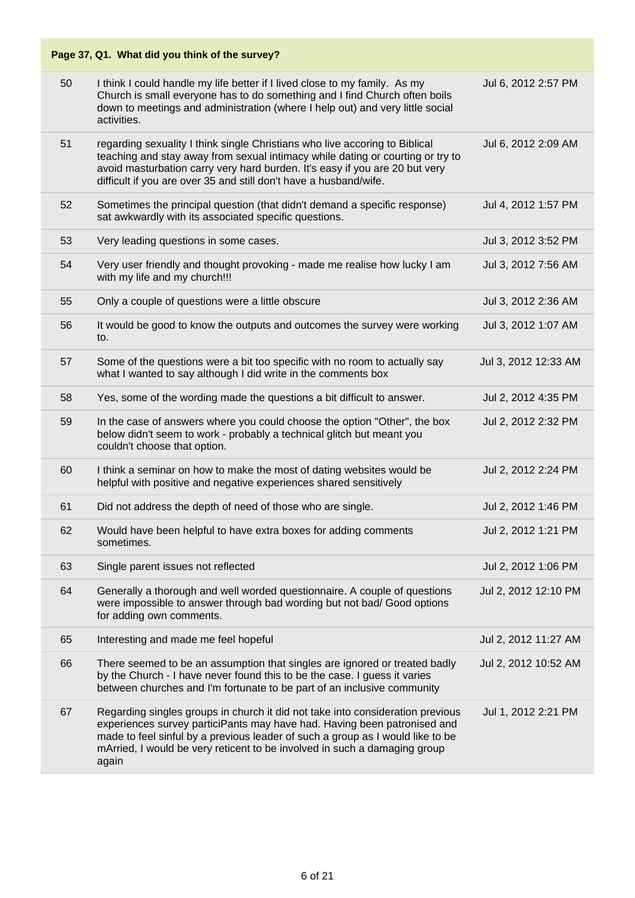|    | Page 37, Q1. What did you think of the survey?                                                                                                                                                                                                                                                                                     |                      |
|----|------------------------------------------------------------------------------------------------------------------------------------------------------------------------------------------------------------------------------------------------------------------------------------------------------------------------------------|----------------------|
| 50 | I think I could handle my life better if I lived close to my family. As my<br>Church is small everyone has to do something and I find Church often boils<br>down to meetings and administration (where I help out) and very little social<br>activities.                                                                           | Jul 6, 2012 2:57 PM  |
| 51 | regarding sexuality I think single Christians who live accoring to Biblical<br>teaching and stay away from sexual intimacy while dating or courting or try to<br>avoid masturbation carry very hard burden. It's easy if you are 20 but very<br>difficult if you are over 35 and still don't have a husband/wife.                  | Jul 6, 2012 2:09 AM  |
| 52 | Sometimes the principal question (that didn't demand a specific response)<br>sat awkwardly with its associated specific questions.                                                                                                                                                                                                 | Jul 4, 2012 1:57 PM  |
| 53 | Very leading questions in some cases.                                                                                                                                                                                                                                                                                              | Jul 3, 2012 3:52 PM  |
| 54 | Very user friendly and thought provoking - made me realise how lucky I am<br>with my life and my church!!!                                                                                                                                                                                                                         | Jul 3, 2012 7:56 AM  |
| 55 | Only a couple of questions were a little obscure                                                                                                                                                                                                                                                                                   | Jul 3, 2012 2:36 AM  |
| 56 | It would be good to know the outputs and outcomes the survey were working<br>to.                                                                                                                                                                                                                                                   | Jul 3, 2012 1:07 AM  |
| 57 | Some of the questions were a bit too specific with no room to actually say<br>what I wanted to say although I did write in the comments box                                                                                                                                                                                        | Jul 3, 2012 12:33 AM |
| 58 | Yes, some of the wording made the questions a bit difficult to answer.                                                                                                                                                                                                                                                             | Jul 2, 2012 4:35 PM  |
| 59 | In the case of answers where you could choose the option "Other", the box<br>below didn't seem to work - probably a technical glitch but meant you<br>couldn't choose that option.                                                                                                                                                 | Jul 2, 2012 2:32 PM  |
| 60 | I think a seminar on how to make the most of dating websites would be<br>helpful with positive and negative experiences shared sensitively                                                                                                                                                                                         | Jul 2, 2012 2:24 PM  |
| 61 | Did not address the depth of need of those who are single.                                                                                                                                                                                                                                                                         | Jul 2, 2012 1:46 PM  |
| 62 | Would have been helpful to have extra boxes for adding comments<br>sometimes.                                                                                                                                                                                                                                                      | Jul 2, 2012 1:21 PM  |
| 63 | Single parent issues not reflected                                                                                                                                                                                                                                                                                                 | Jul 2, 2012 1:06 PM  |
| 64 | Generally a thorough and well worded questionnaire. A couple of questions<br>were impossible to answer through bad wording but not bad/ Good options<br>for adding own comments.                                                                                                                                                   | Jul 2, 2012 12:10 PM |
| 65 | Interesting and made me feel hopeful                                                                                                                                                                                                                                                                                               | Jul 2, 2012 11:27 AM |
| 66 | There seemed to be an assumption that singles are ignored or treated badly<br>by the Church - I have never found this to be the case. I guess it varies<br>between churches and I'm fortunate to be part of an inclusive community                                                                                                 | Jul 2, 2012 10:52 AM |
| 67 | Regarding singles groups in church it did not take into consideration previous<br>experiences survey particiPants may have had. Having been patronised and<br>made to feel sinful by a previous leader of such a group as I would like to be<br>mArried, I would be very reticent to be involved in such a damaging group<br>again | Jul 1, 2012 2:21 PM  |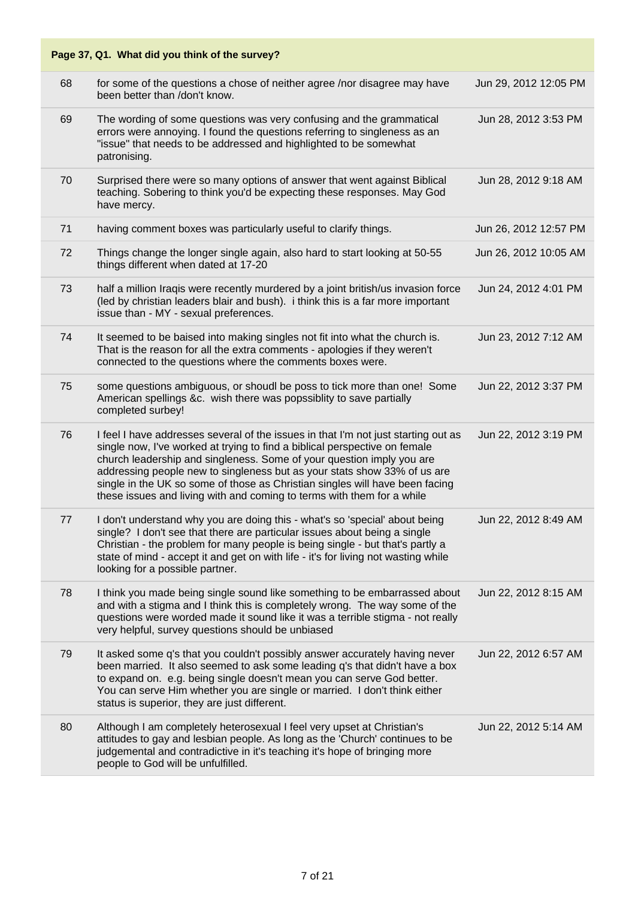|    | Page 37, Q1. What did you think of the survey?                                                                                                                                                                                                                                                                                                                                                                                                                                  |                       |
|----|---------------------------------------------------------------------------------------------------------------------------------------------------------------------------------------------------------------------------------------------------------------------------------------------------------------------------------------------------------------------------------------------------------------------------------------------------------------------------------|-----------------------|
| 68 | for some of the questions a chose of neither agree /nor disagree may have<br>been better than /don't know.                                                                                                                                                                                                                                                                                                                                                                      | Jun 29, 2012 12:05 PM |
| 69 | The wording of some questions was very confusing and the grammatical<br>errors were annoying. I found the questions referring to singleness as an<br>"issue" that needs to be addressed and highlighted to be somewhat<br>patronising.                                                                                                                                                                                                                                          | Jun 28, 2012 3:53 PM  |
| 70 | Surprised there were so many options of answer that went against Biblical<br>teaching. Sobering to think you'd be expecting these responses. May God<br>have mercy.                                                                                                                                                                                                                                                                                                             | Jun 28, 2012 9:18 AM  |
| 71 | having comment boxes was particularly useful to clarify things.                                                                                                                                                                                                                                                                                                                                                                                                                 | Jun 26, 2012 12:57 PM |
| 72 | Things change the longer single again, also hard to start looking at 50-55<br>things different when dated at 17-20                                                                                                                                                                                                                                                                                                                                                              | Jun 26, 2012 10:05 AM |
| 73 | half a million Iraqis were recently murdered by a joint british/us invasion force<br>(led by christian leaders blair and bush). i think this is a far more important<br>issue than - MY - sexual preferences.                                                                                                                                                                                                                                                                   | Jun 24, 2012 4:01 PM  |
| 74 | It seemed to be baised into making singles not fit into what the church is.<br>That is the reason for all the extra comments - apologies if they weren't<br>connected to the questions where the comments boxes were.                                                                                                                                                                                                                                                           | Jun 23, 2012 7:12 AM  |
| 75 | some questions ambiguous, or shoudl be poss to tick more than one! Some<br>American spellings &c. wish there was popssiblity to save partially<br>completed surbey!                                                                                                                                                                                                                                                                                                             | Jun 22, 2012 3:37 PM  |
| 76 | I feel I have addresses several of the issues in that I'm not just starting out as<br>single now, I've worked at trying to find a biblical perspective on female<br>church leadership and singleness. Some of your question imply you are<br>addressing people new to singleness but as your stats show 33% of us are<br>single in the UK so some of those as Christian singles will have been facing<br>these issues and living with and coming to terms with them for a while | Jun 22, 2012 3:19 PM  |
| 77 | I don't understand why you are doing this - what's so 'special' about being<br>single? I don't see that there are particular issues about being a single<br>Christian - the problem for many people is being single - but that's partly a<br>state of mind - accept it and get on with life - it's for living not wasting while<br>looking for a possible partner.                                                                                                              | Jun 22, 2012 8:49 AM  |
| 78 | I think you made being single sound like something to be embarrassed about<br>and with a stigma and I think this is completely wrong. The way some of the<br>questions were worded made it sound like it was a terrible stigma - not really<br>very helpful, survey questions should be unbiased                                                                                                                                                                                | Jun 22, 2012 8:15 AM  |
| 79 | It asked some q's that you couldn't possibly answer accurately having never<br>been married. It also seemed to ask some leading q's that didn't have a box<br>to expand on. e.g. being single doesn't mean you can serve God better.<br>You can serve Him whether you are single or married. I don't think either<br>status is superior, they are just different.                                                                                                               | Jun 22, 2012 6:57 AM  |
| 80 | Although I am completely heterosexual I feel very upset at Christian's<br>attitudes to gay and lesbian people. As long as the 'Church' continues to be<br>judgemental and contradictive in it's teaching it's hope of bringing more<br>people to God will be unfulfilled.                                                                                                                                                                                                       | Jun 22, 2012 5:14 AM  |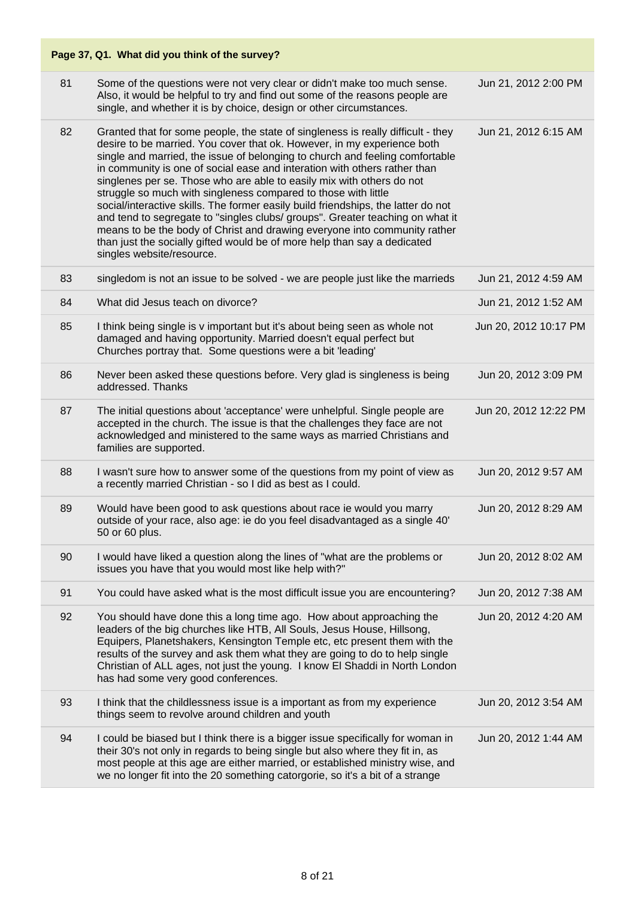|    | Page 37, Q1. What did you think of the survey?                                                                                                                                                                                                                                                                                                                                                                                                                                                                                                                                                                                                                                                                                                                                                                                  |                       |
|----|---------------------------------------------------------------------------------------------------------------------------------------------------------------------------------------------------------------------------------------------------------------------------------------------------------------------------------------------------------------------------------------------------------------------------------------------------------------------------------------------------------------------------------------------------------------------------------------------------------------------------------------------------------------------------------------------------------------------------------------------------------------------------------------------------------------------------------|-----------------------|
| 81 | Some of the questions were not very clear or didn't make too much sense.<br>Also, it would be helpful to try and find out some of the reasons people are<br>single, and whether it is by choice, design or other circumstances.                                                                                                                                                                                                                                                                                                                                                                                                                                                                                                                                                                                                 | Jun 21, 2012 2:00 PM  |
| 82 | Granted that for some people, the state of singleness is really difficult - they<br>desire to be married. You cover that ok. However, in my experience both<br>single and married, the issue of belonging to church and feeling comfortable<br>in community is one of social ease and interation with others rather than<br>singlenes per se. Those who are able to easily mix with others do not<br>struggle so much with singleness compared to those with little<br>social/interactive skills. The former easily build friendships, the latter do not<br>and tend to segregate to "singles clubs/ groups". Greater teaching on what it<br>means to be the body of Christ and drawing everyone into community rather<br>than just the socially gifted would be of more help than say a dedicated<br>singles website/resource. | Jun 21, 2012 6:15 AM  |
| 83 | singledom is not an issue to be solved - we are people just like the marrieds                                                                                                                                                                                                                                                                                                                                                                                                                                                                                                                                                                                                                                                                                                                                                   | Jun 21, 2012 4:59 AM  |
| 84 | What did Jesus teach on divorce?                                                                                                                                                                                                                                                                                                                                                                                                                                                                                                                                                                                                                                                                                                                                                                                                | Jun 21, 2012 1:52 AM  |
| 85 | I think being single is v important but it's about being seen as whole not<br>damaged and having opportunity. Married doesn't equal perfect but<br>Churches portray that. Some questions were a bit 'leading'                                                                                                                                                                                                                                                                                                                                                                                                                                                                                                                                                                                                                   | Jun 20, 2012 10:17 PM |
| 86 | Never been asked these questions before. Very glad is singleness is being<br>addressed. Thanks                                                                                                                                                                                                                                                                                                                                                                                                                                                                                                                                                                                                                                                                                                                                  | Jun 20, 2012 3:09 PM  |
| 87 | The initial questions about 'acceptance' were unhelpful. Single people are<br>accepted in the church. The issue is that the challenges they face are not<br>acknowledged and ministered to the same ways as married Christians and<br>families are supported.                                                                                                                                                                                                                                                                                                                                                                                                                                                                                                                                                                   | Jun 20, 2012 12:22 PM |
| 88 | I wasn't sure how to answer some of the questions from my point of view as<br>a recently married Christian - so I did as best as I could.                                                                                                                                                                                                                                                                                                                                                                                                                                                                                                                                                                                                                                                                                       | Jun 20, 2012 9:57 AM  |
| 89 | Would have been good to ask questions about race ie would you marry<br>outside of your race, also age: ie do you feel disadvantaged as a single 40'<br>50 or 60 plus.                                                                                                                                                                                                                                                                                                                                                                                                                                                                                                                                                                                                                                                           | Jun 20, 2012 8:29 AM  |
| 90 | I would have liked a question along the lines of "what are the problems or<br>issues you have that you would most like help with?"                                                                                                                                                                                                                                                                                                                                                                                                                                                                                                                                                                                                                                                                                              | Jun 20, 2012 8:02 AM  |
| 91 | You could have asked what is the most difficult issue you are encountering?                                                                                                                                                                                                                                                                                                                                                                                                                                                                                                                                                                                                                                                                                                                                                     | Jun 20, 2012 7:38 AM  |
| 92 | You should have done this a long time ago. How about approaching the<br>leaders of the big churches like HTB, All Souls, Jesus House, Hillsong,<br>Equipers, Planetshakers, Kensington Temple etc, etc present them with the<br>results of the survey and ask them what they are going to do to help single<br>Christian of ALL ages, not just the young. I know El Shaddi in North London<br>has had some very good conferences.                                                                                                                                                                                                                                                                                                                                                                                               | Jun 20, 2012 4:20 AM  |
| 93 | I think that the childlessness issue is a important as from my experience<br>things seem to revolve around children and youth                                                                                                                                                                                                                                                                                                                                                                                                                                                                                                                                                                                                                                                                                                   | Jun 20, 2012 3:54 AM  |
| 94 | I could be biased but I think there is a bigger issue specifically for woman in<br>their 30's not only in regards to being single but also where they fit in, as<br>most people at this age are either married, or established ministry wise, and<br>we no longer fit into the 20 something catorgorie, so it's a bit of a strange                                                                                                                                                                                                                                                                                                                                                                                                                                                                                              | Jun 20, 2012 1:44 AM  |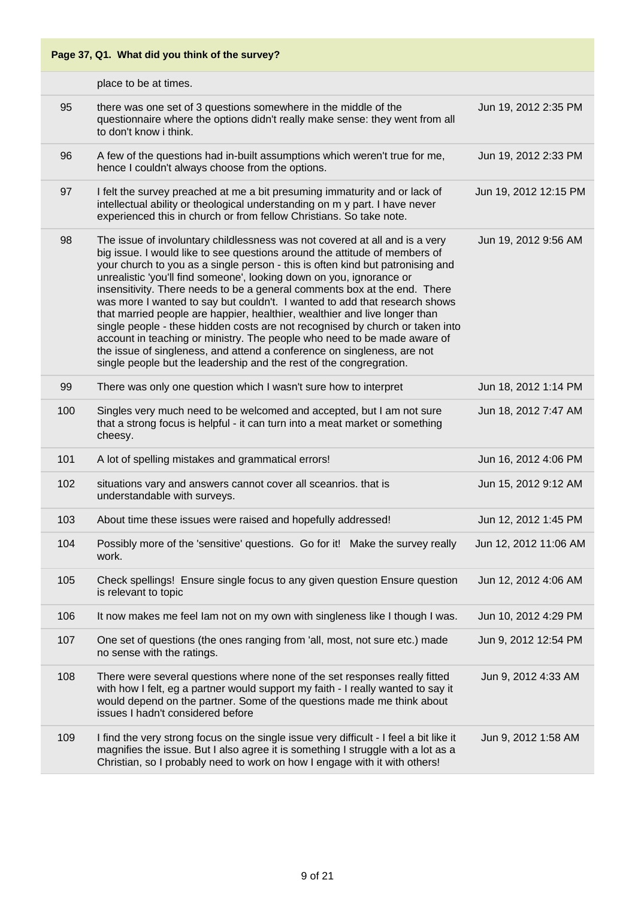| Page 37, Q1. What did you think of the survey? |                                                                                                                                                                                                                                                                                                                                                                                                                                                                                                                                                                                                                                                                                                                                                                                                                                                                             |                       |
|------------------------------------------------|-----------------------------------------------------------------------------------------------------------------------------------------------------------------------------------------------------------------------------------------------------------------------------------------------------------------------------------------------------------------------------------------------------------------------------------------------------------------------------------------------------------------------------------------------------------------------------------------------------------------------------------------------------------------------------------------------------------------------------------------------------------------------------------------------------------------------------------------------------------------------------|-----------------------|
|                                                | place to be at times.                                                                                                                                                                                                                                                                                                                                                                                                                                                                                                                                                                                                                                                                                                                                                                                                                                                       |                       |
| 95                                             | there was one set of 3 questions somewhere in the middle of the<br>questionnaire where the options didn't really make sense: they went from all<br>to don't know i think.                                                                                                                                                                                                                                                                                                                                                                                                                                                                                                                                                                                                                                                                                                   | Jun 19, 2012 2:35 PM  |
| 96                                             | A few of the questions had in-built assumptions which weren't true for me,<br>hence I couldn't always choose from the options.                                                                                                                                                                                                                                                                                                                                                                                                                                                                                                                                                                                                                                                                                                                                              | Jun 19, 2012 2:33 PM  |
| 97                                             | I felt the survey preached at me a bit presuming immaturity and or lack of<br>intellectual ability or theological understanding on m y part. I have never<br>experienced this in church or from fellow Christians. So take note.                                                                                                                                                                                                                                                                                                                                                                                                                                                                                                                                                                                                                                            | Jun 19, 2012 12:15 PM |
| 98                                             | The issue of involuntary childlessness was not covered at all and is a very<br>big issue. I would like to see questions around the attitude of members of<br>your church to you as a single person - this is often kind but patronising and<br>unrealistic 'you'll find someone', looking down on you, ignorance or<br>insensitivity. There needs to be a general comments box at the end. There<br>was more I wanted to say but couldn't. I wanted to add that research shows<br>that married people are happier, healthier, wealthier and live longer than<br>single people - these hidden costs are not recognised by church or taken into<br>account in teaching or ministry. The people who need to be made aware of<br>the issue of singleness, and attend a conference on singleness, are not<br>single people but the leadership and the rest of the congregration. | Jun 19, 2012 9:56 AM  |
| 99                                             | There was only one question which I wasn't sure how to interpret                                                                                                                                                                                                                                                                                                                                                                                                                                                                                                                                                                                                                                                                                                                                                                                                            | Jun 18, 2012 1:14 PM  |
| 100                                            | Singles very much need to be welcomed and accepted, but I am not sure<br>that a strong focus is helpful - it can turn into a meat market or something<br>cheesy.                                                                                                                                                                                                                                                                                                                                                                                                                                                                                                                                                                                                                                                                                                            | Jun 18, 2012 7:47 AM  |
| 101                                            | A lot of spelling mistakes and grammatical errors!                                                                                                                                                                                                                                                                                                                                                                                                                                                                                                                                                                                                                                                                                                                                                                                                                          | Jun 16, 2012 4:06 PM  |
| 102                                            | situations vary and answers cannot cover all sceanrios. that is<br>understandable with surveys.                                                                                                                                                                                                                                                                                                                                                                                                                                                                                                                                                                                                                                                                                                                                                                             | Jun 15, 2012 9:12 AM  |
| 103                                            | About time these issues were raised and hopefully addressed!                                                                                                                                                                                                                                                                                                                                                                                                                                                                                                                                                                                                                                                                                                                                                                                                                | Jun 12, 2012 1:45 PM  |
| 104                                            | Possibly more of the 'sensitive' questions. Go for it! Make the survey really<br>work.                                                                                                                                                                                                                                                                                                                                                                                                                                                                                                                                                                                                                                                                                                                                                                                      | Jun 12, 2012 11:06 AM |
| 105                                            | Check spellings! Ensure single focus to any given question Ensure question<br>is relevant to topic                                                                                                                                                                                                                                                                                                                                                                                                                                                                                                                                                                                                                                                                                                                                                                          | Jun 12, 2012 4:06 AM  |
| 106                                            | It now makes me feel lam not on my own with singleness like I though I was.                                                                                                                                                                                                                                                                                                                                                                                                                                                                                                                                                                                                                                                                                                                                                                                                 | Jun 10, 2012 4:29 PM  |
| 107                                            | One set of questions (the ones ranging from 'all, most, not sure etc.) made<br>no sense with the ratings.                                                                                                                                                                                                                                                                                                                                                                                                                                                                                                                                                                                                                                                                                                                                                                   | Jun 9, 2012 12:54 PM  |
| 108                                            | There were several questions where none of the set responses really fitted<br>with how I felt, eg a partner would support my faith - I really wanted to say it<br>would depend on the partner. Some of the questions made me think about<br>issues I hadn't considered before                                                                                                                                                                                                                                                                                                                                                                                                                                                                                                                                                                                               | Jun 9, 2012 4:33 AM   |
| 109                                            | I find the very strong focus on the single issue very difficult - I feel a bit like it<br>magnifies the issue. But I also agree it is something I struggle with a lot as a<br>Christian, so I probably need to work on how I engage with it with others!                                                                                                                                                                                                                                                                                                                                                                                                                                                                                                                                                                                                                    | Jun 9, 2012 1:58 AM   |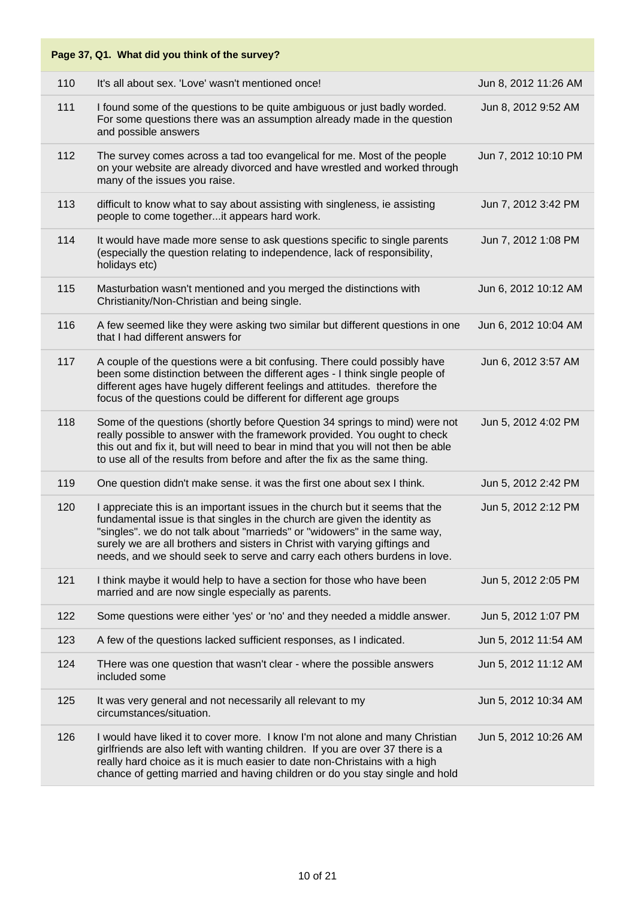|     | Page 37, Q1. What did you think of the survey?                                                                                                                                                                                                                                                                                                                                                    |                      |
|-----|---------------------------------------------------------------------------------------------------------------------------------------------------------------------------------------------------------------------------------------------------------------------------------------------------------------------------------------------------------------------------------------------------|----------------------|
| 110 | It's all about sex. 'Love' wasn't mentioned once!                                                                                                                                                                                                                                                                                                                                                 | Jun 8, 2012 11:26 AM |
| 111 | I found some of the questions to be quite ambiguous or just badly worded.<br>For some questions there was an assumption already made in the question<br>and possible answers                                                                                                                                                                                                                      | Jun 8, 2012 9:52 AM  |
| 112 | The survey comes across a tad too evangelical for me. Most of the people<br>on your website are already divorced and have wrestled and worked through<br>many of the issues you raise.                                                                                                                                                                                                            | Jun 7, 2012 10:10 PM |
| 113 | difficult to know what to say about assisting with singleness, ie assisting<br>people to come togetherit appears hard work.                                                                                                                                                                                                                                                                       | Jun 7, 2012 3:42 PM  |
| 114 | It would have made more sense to ask questions specific to single parents<br>(especially the question relating to independence, lack of responsibility,<br>holidays etc)                                                                                                                                                                                                                          | Jun 7, 2012 1:08 PM  |
| 115 | Masturbation wasn't mentioned and you merged the distinctions with<br>Christianity/Non-Christian and being single.                                                                                                                                                                                                                                                                                | Jun 6, 2012 10:12 AM |
| 116 | A few seemed like they were asking two similar but different questions in one<br>that I had different answers for                                                                                                                                                                                                                                                                                 | Jun 6, 2012 10:04 AM |
| 117 | A couple of the questions were a bit confusing. There could possibly have<br>been some distinction between the different ages - I think single people of<br>different ages have hugely different feelings and attitudes. therefore the<br>focus of the questions could be different for different age groups                                                                                      | Jun 6, 2012 3:57 AM  |
| 118 | Some of the questions (shortly before Question 34 springs to mind) were not<br>really possible to answer with the framework provided. You ought to check<br>this out and fix it, but will need to bear in mind that you will not then be able<br>to use all of the results from before and after the fix as the same thing.                                                                       | Jun 5, 2012 4:02 PM  |
| 119 | One question didn't make sense. it was the first one about sex I think.                                                                                                                                                                                                                                                                                                                           | Jun 5, 2012 2:42 PM  |
| 120 | I appreciate this is an important issues in the church but it seems that the<br>fundamental issue is that singles in the church are given the identity as<br>'singles". we do not talk about "marrieds" or "widowers" in the same way,<br>surely we are all brothers and sisters in Christ with varying giftings and<br>needs, and we should seek to serve and carry each others burdens in love. | Jun 5, 2012 2:12 PM  |
| 121 | I think maybe it would help to have a section for those who have been<br>married and are now single especially as parents.                                                                                                                                                                                                                                                                        | Jun 5, 2012 2:05 PM  |
| 122 | Some questions were either 'yes' or 'no' and they needed a middle answer.                                                                                                                                                                                                                                                                                                                         | Jun 5, 2012 1:07 PM  |
| 123 | A few of the questions lacked sufficient responses, as I indicated.                                                                                                                                                                                                                                                                                                                               | Jun 5, 2012 11:54 AM |
| 124 | THere was one question that wasn't clear - where the possible answers<br>included some                                                                                                                                                                                                                                                                                                            | Jun 5, 2012 11:12 AM |
| 125 | It was very general and not necessarily all relevant to my<br>circumstances/situation.                                                                                                                                                                                                                                                                                                            | Jun 5, 2012 10:34 AM |
| 126 | I would have liked it to cover more. I know I'm not alone and many Christian<br>girlfriends are also left with wanting children. If you are over 37 there is a<br>really hard choice as it is much easier to date non-Christains with a high<br>chance of getting married and having children or do you stay single and hold                                                                      | Jun 5, 2012 10:26 AM |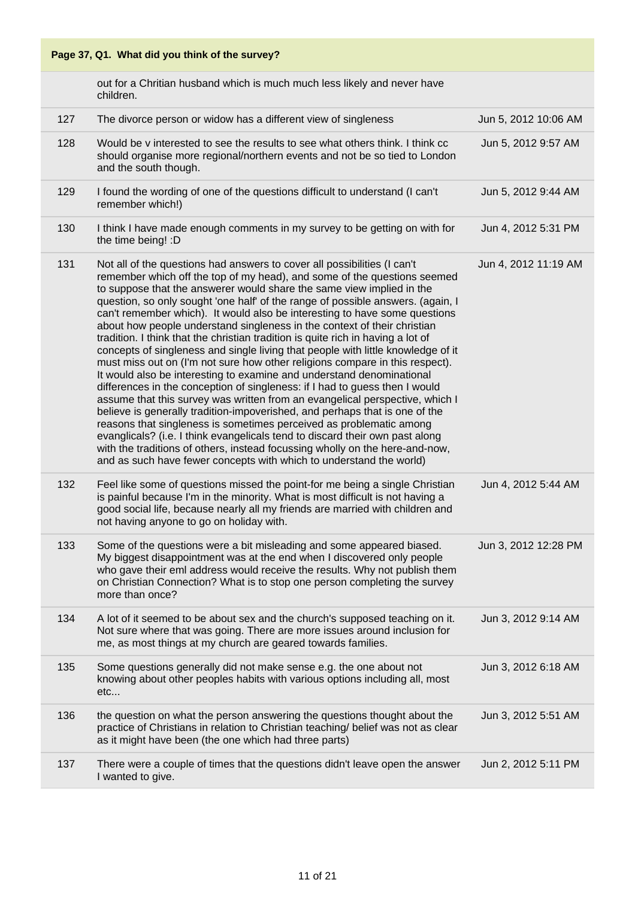out for a Chritian husband which is much much less likely and never have children.

| 127 | The divorce person or widow has a different view of singleness                                                                                                                                                                                                                                                                                                                                                                                                                                                                                                                                                                                                                                                                                                                                                                                                                                                                                                                                                                                                                                                                                                                                                                                                                                                                                                          | Jun 5, 2012 10:06 AM |
|-----|-------------------------------------------------------------------------------------------------------------------------------------------------------------------------------------------------------------------------------------------------------------------------------------------------------------------------------------------------------------------------------------------------------------------------------------------------------------------------------------------------------------------------------------------------------------------------------------------------------------------------------------------------------------------------------------------------------------------------------------------------------------------------------------------------------------------------------------------------------------------------------------------------------------------------------------------------------------------------------------------------------------------------------------------------------------------------------------------------------------------------------------------------------------------------------------------------------------------------------------------------------------------------------------------------------------------------------------------------------------------------|----------------------|
| 128 | Would be v interested to see the results to see what others think. I think cc<br>should organise more regional/northern events and not be so tied to London<br>and the south though.                                                                                                                                                                                                                                                                                                                                                                                                                                                                                                                                                                                                                                                                                                                                                                                                                                                                                                                                                                                                                                                                                                                                                                                    | Jun 5, 2012 9:57 AM  |
| 129 | I found the wording of one of the questions difficult to understand (I can't<br>remember which!)                                                                                                                                                                                                                                                                                                                                                                                                                                                                                                                                                                                                                                                                                                                                                                                                                                                                                                                                                                                                                                                                                                                                                                                                                                                                        | Jun 5, 2012 9:44 AM  |
| 130 | I think I have made enough comments in my survey to be getting on with for<br>the time being! : D                                                                                                                                                                                                                                                                                                                                                                                                                                                                                                                                                                                                                                                                                                                                                                                                                                                                                                                                                                                                                                                                                                                                                                                                                                                                       | Jun 4, 2012 5:31 PM  |
| 131 | Not all of the questions had answers to cover all possibilities (I can't<br>remember which off the top of my head), and some of the questions seemed<br>to suppose that the answerer would share the same view implied in the<br>question, so only sought 'one half' of the range of possible answers. (again, I<br>can't remember which). It would also be interesting to have some questions<br>about how people understand singleness in the context of their christian<br>tradition. I think that the christian tradition is quite rich in having a lot of<br>concepts of singleness and single living that people with little knowledge of it<br>must miss out on (I'm not sure how other religions compare in this respect).<br>It would also be interesting to examine and understand denominational<br>differences in the conception of singleness: if I had to guess then I would<br>assume that this survey was written from an evangelical perspective, which I<br>believe is generally tradition-impoverished, and perhaps that is one of the<br>reasons that singleness is sometimes perceived as problematic among<br>evanglicals? (i.e. I think evangelicals tend to discard their own past along<br>with the traditions of others, instead focussing wholly on the here-and-now,<br>and as such have fewer concepts with which to understand the world) | Jun 4, 2012 11:19 AM |
| 132 | Feel like some of questions missed the point-for me being a single Christian<br>is painful because I'm in the minority. What is most difficult is not having a<br>good social life, because nearly all my friends are married with children and<br>not having anyone to go on holiday with.                                                                                                                                                                                                                                                                                                                                                                                                                                                                                                                                                                                                                                                                                                                                                                                                                                                                                                                                                                                                                                                                             | Jun 4, 2012 5:44 AM  |
| 133 | Some of the questions were a bit misleading and some appeared biased.<br>My biggest disappointment was at the end when I discovered only people<br>who gave their eml address would receive the results. Why not publish them<br>on Christian Connection? What is to stop one person completing the survey<br>more than once?                                                                                                                                                                                                                                                                                                                                                                                                                                                                                                                                                                                                                                                                                                                                                                                                                                                                                                                                                                                                                                           | Jun 3, 2012 12:28 PM |
| 134 | A lot of it seemed to be about sex and the church's supposed teaching on it.<br>Not sure where that was going. There are more issues around inclusion for<br>me, as most things at my church are geared towards families.                                                                                                                                                                                                                                                                                                                                                                                                                                                                                                                                                                                                                                                                                                                                                                                                                                                                                                                                                                                                                                                                                                                                               | Jun 3, 2012 9:14 AM  |
| 135 | Some questions generally did not make sense e.g. the one about not<br>knowing about other peoples habits with various options including all, most<br>etc                                                                                                                                                                                                                                                                                                                                                                                                                                                                                                                                                                                                                                                                                                                                                                                                                                                                                                                                                                                                                                                                                                                                                                                                                | Jun 3, 2012 6:18 AM  |
| 136 | the question on what the person answering the questions thought about the<br>practice of Christians in relation to Christian teaching/ belief was not as clear<br>as it might have been (the one which had three parts)                                                                                                                                                                                                                                                                                                                                                                                                                                                                                                                                                                                                                                                                                                                                                                                                                                                                                                                                                                                                                                                                                                                                                 | Jun 3, 2012 5:51 AM  |
| 137 | There were a couple of times that the questions didn't leave open the answer<br>I wanted to give.                                                                                                                                                                                                                                                                                                                                                                                                                                                                                                                                                                                                                                                                                                                                                                                                                                                                                                                                                                                                                                                                                                                                                                                                                                                                       | Jun 2, 2012 5:11 PM  |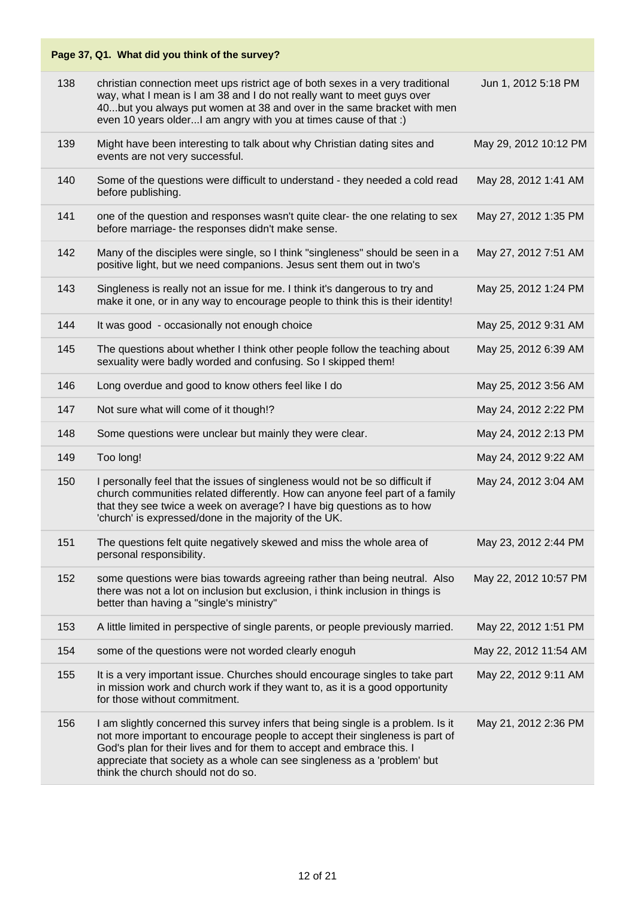|     | Page 37, Q1. What did you think of the survey?                                                                                                                                                                                                                                                                                                              |                       |
|-----|-------------------------------------------------------------------------------------------------------------------------------------------------------------------------------------------------------------------------------------------------------------------------------------------------------------------------------------------------------------|-----------------------|
| 138 | christian connection meet ups ristrict age of both sexes in a very traditional<br>way, what I mean is I am 38 and I do not really want to meet guys over<br>40but you always put women at 38 and over in the same bracket with men<br>even 10 years older I am angry with you at times cause of that :)                                                     | Jun 1, 2012 5:18 PM   |
| 139 | Might have been interesting to talk about why Christian dating sites and<br>events are not very successful.                                                                                                                                                                                                                                                 | May 29, 2012 10:12 PM |
| 140 | Some of the questions were difficult to understand - they needed a cold read<br>before publishing.                                                                                                                                                                                                                                                          | May 28, 2012 1:41 AM  |
| 141 | one of the question and responses wasn't quite clear- the one relating to sex<br>before marriage- the responses didn't make sense.                                                                                                                                                                                                                          | May 27, 2012 1:35 PM  |
| 142 | Many of the disciples were single, so I think "singleness" should be seen in a<br>positive light, but we need companions. Jesus sent them out in two's                                                                                                                                                                                                      | May 27, 2012 7:51 AM  |
| 143 | Singleness is really not an issue for me. I think it's dangerous to try and<br>make it one, or in any way to encourage people to think this is their identity!                                                                                                                                                                                              | May 25, 2012 1:24 PM  |
| 144 | It was good - occasionally not enough choice                                                                                                                                                                                                                                                                                                                | May 25, 2012 9:31 AM  |
| 145 | The questions about whether I think other people follow the teaching about<br>sexuality were badly worded and confusing. So I skipped them!                                                                                                                                                                                                                 | May 25, 2012 6:39 AM  |
| 146 | Long overdue and good to know others feel like I do                                                                                                                                                                                                                                                                                                         | May 25, 2012 3:56 AM  |
| 147 | Not sure what will come of it though!?                                                                                                                                                                                                                                                                                                                      | May 24, 2012 2:22 PM  |
| 148 | Some questions were unclear but mainly they were clear.                                                                                                                                                                                                                                                                                                     | May 24, 2012 2:13 PM  |
| 149 | Too long!                                                                                                                                                                                                                                                                                                                                                   | May 24, 2012 9:22 AM  |
| 150 | I personally feel that the issues of singleness would not be so difficult if<br>church communities related differently. How can anyone feel part of a family<br>that they see twice a week on average? I have big questions as to how<br>'church' is expressed/done in the majority of the UK.                                                              | May 24, 2012 3:04 AM  |
| 151 | The questions felt quite negatively skewed and miss the whole area of<br>personal responsibility.                                                                                                                                                                                                                                                           | May 23, 2012 2:44 PM  |
| 152 | some questions were bias towards agreeing rather than being neutral. Also<br>there was not a lot on inclusion but exclusion, i think inclusion in things is<br>better than having a "single's ministry"                                                                                                                                                     | May 22, 2012 10:57 PM |
| 153 | A little limited in perspective of single parents, or people previously married.                                                                                                                                                                                                                                                                            | May 22, 2012 1:51 PM  |
| 154 | some of the questions were not worded clearly enoguh                                                                                                                                                                                                                                                                                                        | May 22, 2012 11:54 AM |
| 155 | It is a very important issue. Churches should encourage singles to take part<br>in mission work and church work if they want to, as it is a good opportunity<br>for those without commitment.                                                                                                                                                               | May 22, 2012 9:11 AM  |
| 156 | I am slightly concerned this survey infers that being single is a problem. Is it<br>not more important to encourage people to accept their singleness is part of<br>God's plan for their lives and for them to accept and embrace this. I<br>appreciate that society as a whole can see singleness as a 'problem' but<br>think the church should not do so. | May 21, 2012 2:36 PM  |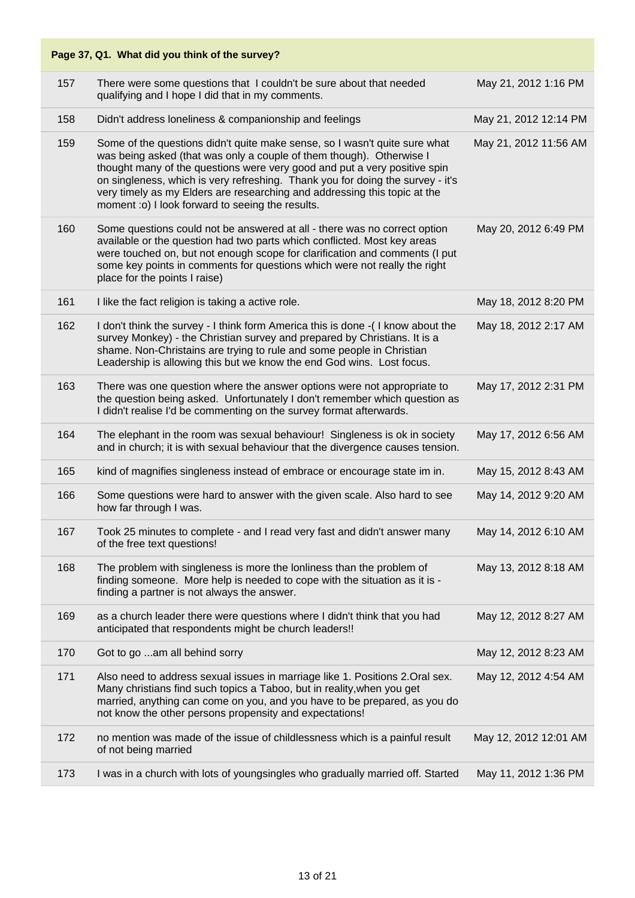|     | Page 37, Q1. What did you think of the survey?                                                                                                                                                                                                                                                                                                                                                                                                     |                       |
|-----|----------------------------------------------------------------------------------------------------------------------------------------------------------------------------------------------------------------------------------------------------------------------------------------------------------------------------------------------------------------------------------------------------------------------------------------------------|-----------------------|
| 157 | There were some questions that I couldn't be sure about that needed<br>qualifying and I hope I did that in my comments.                                                                                                                                                                                                                                                                                                                            | May 21, 2012 1:16 PM  |
| 158 | Didn't address loneliness & companionship and feelings                                                                                                                                                                                                                                                                                                                                                                                             | May 21, 2012 12:14 PM |
| 159 | Some of the questions didn't quite make sense, so I wasn't quite sure what<br>was being asked (that was only a couple of them though). Otherwise I<br>thought many of the questions were very good and put a very positive spin<br>on singleness, which is very refreshing. Thank you for doing the survey - it's<br>very timely as my Elders are researching and addressing this topic at the<br>moment :o) I look forward to seeing the results. | May 21, 2012 11:56 AM |
| 160 | Some questions could not be answered at all - there was no correct option<br>available or the question had two parts which conflicted. Most key areas<br>were touched on, but not enough scope for clarification and comments (I put<br>some key points in comments for questions which were not really the right<br>place for the points I raise)                                                                                                 | May 20, 2012 6:49 PM  |
| 161 | I like the fact religion is taking a active role.                                                                                                                                                                                                                                                                                                                                                                                                  | May 18, 2012 8:20 PM  |
| 162 | I don't think the survey - I think form America this is done -(I know about the<br>survey Monkey) - the Christian survey and prepared by Christians. It is a<br>shame. Non-Christains are trying to rule and some people in Christian<br>Leadership is allowing this but we know the end God wins. Lost focus.                                                                                                                                     | May 18, 2012 2:17 AM  |
| 163 | There was one question where the answer options were not appropriate to<br>the question being asked. Unfortunately I don't remember which question as<br>I didn't realise I'd be commenting on the survey format afterwards.                                                                                                                                                                                                                       | May 17, 2012 2:31 PM  |
| 164 | The elephant in the room was sexual behaviour! Singleness is ok in society<br>and in church; it is with sexual behaviour that the divergence causes tension.                                                                                                                                                                                                                                                                                       | May 17, 2012 6:56 AM  |
| 165 | kind of magnifies singleness instead of embrace or encourage state im in.                                                                                                                                                                                                                                                                                                                                                                          | May 15, 2012 8:43 AM  |
| 166 | Some questions were hard to answer with the given scale. Also hard to see<br>how far through I was.                                                                                                                                                                                                                                                                                                                                                | May 14, 2012 9:20 AM  |
| 167 | Took 25 minutes to complete - and I read very fast and didn't answer many<br>of the free text questions!                                                                                                                                                                                                                                                                                                                                           | May 14, 2012 6:10 AM  |
| 168 | The problem with singleness is more the lonliness than the problem of<br>finding someone. More help is needed to cope with the situation as it is -<br>finding a partner is not always the answer.                                                                                                                                                                                                                                                 | May 13, 2012 8:18 AM  |
| 169 | as a church leader there were questions where I didn't think that you had<br>anticipated that respondents might be church leaders!!                                                                                                                                                                                                                                                                                                                | May 12, 2012 8:27 AM  |
| 170 | Got to go am all behind sorry                                                                                                                                                                                                                                                                                                                                                                                                                      | May 12, 2012 8:23 AM  |
| 171 | Also need to address sexual issues in marriage like 1. Positions 2. Oral sex.<br>Many christians find such topics a Taboo, but in reality, when you get<br>married, anything can come on you, and you have to be prepared, as you do<br>not know the other persons propensity and expectations!                                                                                                                                                    | May 12, 2012 4:54 AM  |
| 172 | no mention was made of the issue of childlessness which is a painful result<br>of not being married                                                                                                                                                                                                                                                                                                                                                | May 12, 2012 12:01 AM |
| 173 | I was in a church with lots of youngsingles who gradually married off. Started                                                                                                                                                                                                                                                                                                                                                                     | May 11, 2012 1:36 PM  |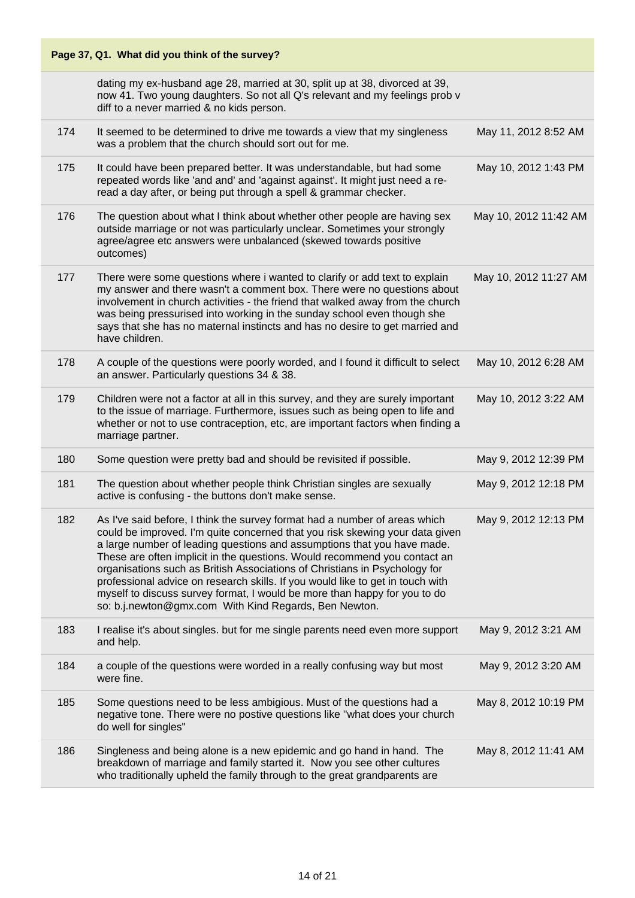| Page 37, Q1. What did you think of the survey? |                                                                                                                                                                                                                                                                                                                                                                                                                                                                                                                                                                                                                          |                       |
|------------------------------------------------|--------------------------------------------------------------------------------------------------------------------------------------------------------------------------------------------------------------------------------------------------------------------------------------------------------------------------------------------------------------------------------------------------------------------------------------------------------------------------------------------------------------------------------------------------------------------------------------------------------------------------|-----------------------|
|                                                | dating my ex-husband age 28, married at 30, split up at 38, divorced at 39,<br>now 41. Two young daughters. So not all Q's relevant and my feelings prob v<br>diff to a never married & no kids person.                                                                                                                                                                                                                                                                                                                                                                                                                  |                       |
| 174                                            | It seemed to be determined to drive me towards a view that my singleness<br>was a problem that the church should sort out for me.                                                                                                                                                                                                                                                                                                                                                                                                                                                                                        | May 11, 2012 8:52 AM  |
| 175                                            | It could have been prepared better. It was understandable, but had some<br>repeated words like 'and and' and 'against against'. It might just need a re-<br>read a day after, or being put through a spell & grammar checker.                                                                                                                                                                                                                                                                                                                                                                                            | May 10, 2012 1:43 PM  |
| 176                                            | The question about what I think about whether other people are having sex<br>outside marriage or not was particularly unclear. Sometimes your strongly<br>agree/agree etc answers were unbalanced (skewed towards positive<br>outcomes)                                                                                                                                                                                                                                                                                                                                                                                  | May 10, 2012 11:42 AM |
| 177                                            | There were some questions where i wanted to clarify or add text to explain<br>my answer and there wasn't a comment box. There were no questions about<br>involvement in church activities - the friend that walked away from the church<br>was being pressurised into working in the sunday school even though she<br>says that she has no maternal instincts and has no desire to get married and<br>have children.                                                                                                                                                                                                     | May 10, 2012 11:27 AM |
| 178                                            | A couple of the questions were poorly worded, and I found it difficult to select<br>an answer. Particularly questions 34 & 38.                                                                                                                                                                                                                                                                                                                                                                                                                                                                                           | May 10, 2012 6:28 AM  |
| 179                                            | Children were not a factor at all in this survey, and they are surely important<br>to the issue of marriage. Furthermore, issues such as being open to life and<br>whether or not to use contraception, etc, are important factors when finding a<br>marriage partner.                                                                                                                                                                                                                                                                                                                                                   | May 10, 2012 3:22 AM  |
| 180                                            | Some question were pretty bad and should be revisited if possible.                                                                                                                                                                                                                                                                                                                                                                                                                                                                                                                                                       | May 9, 2012 12:39 PM  |
| 181                                            | The question about whether people think Christian singles are sexually<br>active is confusing - the buttons don't make sense.                                                                                                                                                                                                                                                                                                                                                                                                                                                                                            | May 9, 2012 12:18 PM  |
| 182                                            | As I've said before, I think the survey format had a number of areas which<br>could be improved. I'm quite concerned that you risk skewing your data given<br>a large number of leading questions and assumptions that you have made.<br>These are often implicit in the questions. Would recommend you contact an<br>organisations such as British Associations of Christians in Psychology for<br>professional advice on research skills. If you would like to get in touch with<br>myself to discuss survey format, I would be more than happy for you to do<br>so: b.j.newton@gmx.com With Kind Regards, Ben Newton. | May 9, 2012 12:13 PM  |
| 183                                            | I realise it's about singles. but for me single parents need even more support<br>and help.                                                                                                                                                                                                                                                                                                                                                                                                                                                                                                                              | May 9, 2012 3:21 AM   |
| 184                                            | a couple of the questions were worded in a really confusing way but most<br>were fine.                                                                                                                                                                                                                                                                                                                                                                                                                                                                                                                                   | May 9, 2012 3:20 AM   |
| 185                                            | Some questions need to be less ambigious. Must of the questions had a<br>negative tone. There were no postive questions like "what does your church<br>do well for singles"                                                                                                                                                                                                                                                                                                                                                                                                                                              | May 8, 2012 10:19 PM  |
| 186                                            | Singleness and being alone is a new epidemic and go hand in hand. The<br>breakdown of marriage and family started it. Now you see other cultures<br>who traditionally upheld the family through to the great grandparents are                                                                                                                                                                                                                                                                                                                                                                                            | May 8, 2012 11:41 AM  |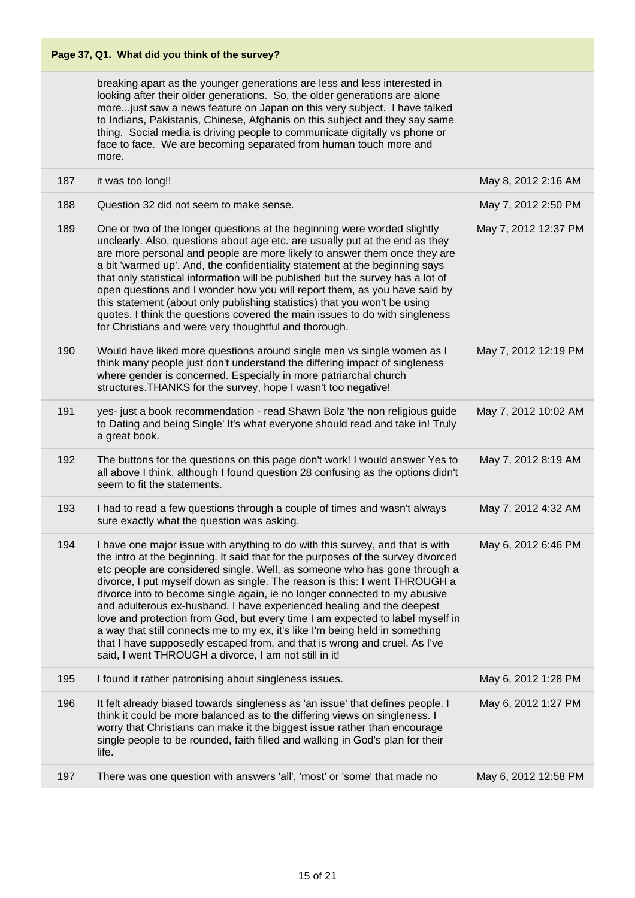breaking apart as the younger generations are less and less interested in looking after their older generations. So, the older generations are alone more...just saw a news feature on Japan on this very subject. I have talked to Indians, Pakistanis, Chinese, Afghanis on this subject and they say same thing. Social media is driving people to communicate digitally vs phone or face to face. We are becoming separated from human touch more and more.

| 187 | it was too long!!                                                                                                                                                                                                                                                                                                                                                                                                                                                                                                                                                                                                                                                                                                                                                                         | May 8, 2012 2:16 AM  |
|-----|-------------------------------------------------------------------------------------------------------------------------------------------------------------------------------------------------------------------------------------------------------------------------------------------------------------------------------------------------------------------------------------------------------------------------------------------------------------------------------------------------------------------------------------------------------------------------------------------------------------------------------------------------------------------------------------------------------------------------------------------------------------------------------------------|----------------------|
| 188 | Question 32 did not seem to make sense.                                                                                                                                                                                                                                                                                                                                                                                                                                                                                                                                                                                                                                                                                                                                                   | May 7, 2012 2:50 PM  |
| 189 | One or two of the longer questions at the beginning were worded slightly<br>unclearly. Also, questions about age etc. are usually put at the end as they<br>are more personal and people are more likely to answer them once they are<br>a bit 'warmed up'. And, the confidentiality statement at the beginning says<br>that only statistical information will be published but the survey has a lot of<br>open questions and I wonder how you will report them, as you have said by<br>this statement (about only publishing statistics) that you won't be using<br>quotes. I think the questions covered the main issues to do with singleness<br>for Christians and were very thoughtful and thorough.                                                                                 | May 7, 2012 12:37 PM |
| 190 | Would have liked more questions around single men vs single women as I<br>think many people just don't understand the differing impact of singleness<br>where gender is concerned. Especially in more patriarchal church<br>structures. THANKS for the survey, hope I wasn't too negative!                                                                                                                                                                                                                                                                                                                                                                                                                                                                                                | May 7, 2012 12:19 PM |
| 191 | yes- just a book recommendation - read Shawn Bolz 'the non religious guide<br>to Dating and being Single' It's what everyone should read and take in! Truly<br>a great book.                                                                                                                                                                                                                                                                                                                                                                                                                                                                                                                                                                                                              | May 7, 2012 10:02 AM |
| 192 | The buttons for the questions on this page don't work! I would answer Yes to<br>all above I think, although I found question 28 confusing as the options didn't<br>seem to fit the statements.                                                                                                                                                                                                                                                                                                                                                                                                                                                                                                                                                                                            | May 7, 2012 8:19 AM  |
| 193 | I had to read a few questions through a couple of times and wasn't always<br>sure exactly what the question was asking.                                                                                                                                                                                                                                                                                                                                                                                                                                                                                                                                                                                                                                                                   | May 7, 2012 4:32 AM  |
| 194 | I have one major issue with anything to do with this survey, and that is with<br>the intro at the beginning. It said that for the purposes of the survey divorced<br>etc people are considered single. Well, as someone who has gone through a<br>divorce, I put myself down as single. The reason is this: I went THROUGH a<br>divorce into to become single again, ie no longer connected to my abusive<br>and adulterous ex-husband. I have experienced healing and the deepest<br>love and protection from God, but every time I am expected to label myself in<br>a way that still connects me to my ex, it's like I'm being held in something<br>that I have supposedly escaped from, and that is wrong and cruel. As I've<br>said, I went THROUGH a divorce, I am not still in it! | May 6, 2012 6:46 PM  |
| 195 | I found it rather patronising about singleness issues.                                                                                                                                                                                                                                                                                                                                                                                                                                                                                                                                                                                                                                                                                                                                    | May 6, 2012 1:28 PM  |
| 196 | It felt already biased towards singleness as 'an issue' that defines people. I<br>think it could be more balanced as to the differing views on singleness. I<br>worry that Christians can make it the biggest issue rather than encourage<br>single people to be rounded, faith filled and walking in God's plan for their<br>life.                                                                                                                                                                                                                                                                                                                                                                                                                                                       | May 6, 2012 1:27 PM  |
| 197 | There was one question with answers 'all', 'most' or 'some' that made no                                                                                                                                                                                                                                                                                                                                                                                                                                                                                                                                                                                                                                                                                                                  | May 6, 2012 12:58 PM |
|     |                                                                                                                                                                                                                                                                                                                                                                                                                                                                                                                                                                                                                                                                                                                                                                                           |                      |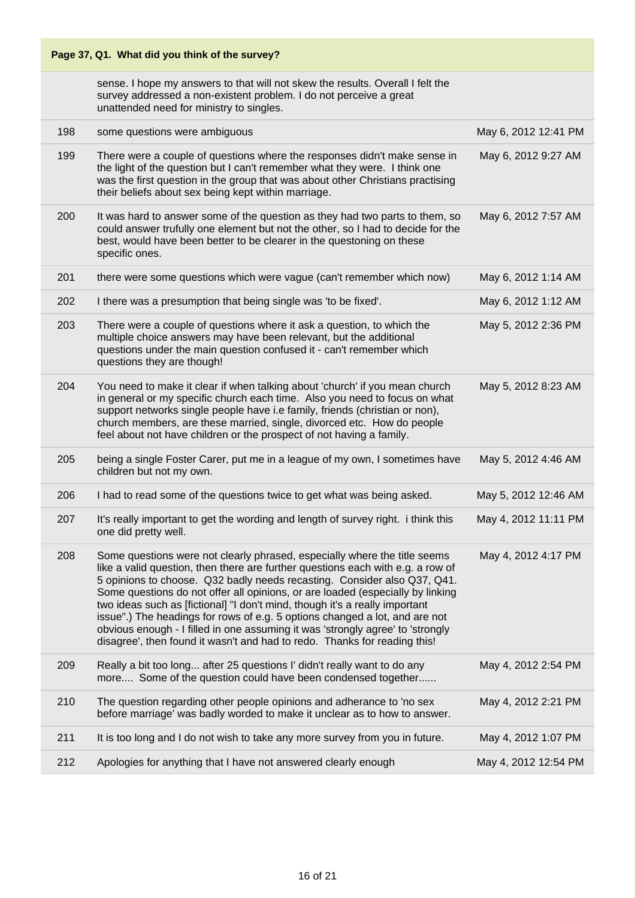| Page 37, Q1. What did you think of the survey? |                                                                                                                                                                                                                                                                                                                                                                                                                                                                                                                                                                                                                                                         |                      |  |
|------------------------------------------------|---------------------------------------------------------------------------------------------------------------------------------------------------------------------------------------------------------------------------------------------------------------------------------------------------------------------------------------------------------------------------------------------------------------------------------------------------------------------------------------------------------------------------------------------------------------------------------------------------------------------------------------------------------|----------------------|--|
|                                                | sense. I hope my answers to that will not skew the results. Overall I felt the<br>survey addressed a non-existent problem. I do not perceive a great<br>unattended need for ministry to singles.                                                                                                                                                                                                                                                                                                                                                                                                                                                        |                      |  |
| 198                                            | some questions were ambiguous                                                                                                                                                                                                                                                                                                                                                                                                                                                                                                                                                                                                                           | May 6, 2012 12:41 PM |  |
| 199                                            | There were a couple of questions where the responses didn't make sense in<br>the light of the question but I can't remember what they were. I think one<br>was the first question in the group that was about other Christians practising<br>their beliefs about sex being kept within marriage.                                                                                                                                                                                                                                                                                                                                                        | May 6, 2012 9:27 AM  |  |
| 200                                            | It was hard to answer some of the question as they had two parts to them, so<br>could answer trufully one element but not the other, so I had to decide for the<br>best, would have been better to be clearer in the questoning on these<br>specific ones.                                                                                                                                                                                                                                                                                                                                                                                              | May 6, 2012 7:57 AM  |  |
| 201                                            | there were some questions which were vague (can't remember which now)                                                                                                                                                                                                                                                                                                                                                                                                                                                                                                                                                                                   | May 6, 2012 1:14 AM  |  |
| 202                                            | I there was a presumption that being single was 'to be fixed'.                                                                                                                                                                                                                                                                                                                                                                                                                                                                                                                                                                                          | May 6, 2012 1:12 AM  |  |
| 203                                            | There were a couple of questions where it ask a question, to which the<br>multiple choice answers may have been relevant, but the additional<br>questions under the main question confused it - can't remember which<br>questions they are though!                                                                                                                                                                                                                                                                                                                                                                                                      | May 5, 2012 2:36 PM  |  |
| 204                                            | You need to make it clear if when talking about 'church' if you mean church<br>in general or my specific church each time. Also you need to focus on what<br>support networks single people have i.e family, friends (christian or non),<br>church members, are these married, single, divorced etc. How do people<br>feel about not have children or the prospect of not having a family.                                                                                                                                                                                                                                                              | May 5, 2012 8:23 AM  |  |
| 205                                            | being a single Foster Carer, put me in a league of my own, I sometimes have<br>children but not my own.                                                                                                                                                                                                                                                                                                                                                                                                                                                                                                                                                 | May 5, 2012 4:46 AM  |  |
| 206                                            | I had to read some of the questions twice to get what was being asked.                                                                                                                                                                                                                                                                                                                                                                                                                                                                                                                                                                                  | May 5, 2012 12:46 AM |  |
| 207                                            | It's really important to get the wording and length of survey right. i think this<br>one did pretty well.                                                                                                                                                                                                                                                                                                                                                                                                                                                                                                                                               | May 4, 2012 11:11 PM |  |
| 208                                            | Some questions were not clearly phrased, especially where the title seems<br>like a valid question, then there are further questions each with e.g. a row of<br>5 opinions to choose. Q32 badly needs recasting. Consider also Q37, Q41.<br>Some questions do not offer all opinions, or are loaded (especially by linking<br>two ideas such as [fictional] "I don't mind, though it's a really important<br>issue".) The headings for rows of e.g. 5 options changed a lot, and are not<br>obvious enough - I filled in one assuming it was 'strongly agree' to 'strongly<br>disagree', then found it wasn't and had to redo. Thanks for reading this! | May 4, 2012 4:17 PM  |  |
| 209                                            | Really a bit too long after 25 questions I' didn't really want to do any<br>more Some of the question could have been condensed together                                                                                                                                                                                                                                                                                                                                                                                                                                                                                                                | May 4, 2012 2:54 PM  |  |
| 210                                            | The question regarding other people opinions and adherance to 'no sex<br>before marriage' was badly worded to make it unclear as to how to answer.                                                                                                                                                                                                                                                                                                                                                                                                                                                                                                      | May 4, 2012 2:21 PM  |  |
| 211                                            | It is too long and I do not wish to take any more survey from you in future.                                                                                                                                                                                                                                                                                                                                                                                                                                                                                                                                                                            | May 4, 2012 1:07 PM  |  |
| 212                                            | Apologies for anything that I have not answered clearly enough                                                                                                                                                                                                                                                                                                                                                                                                                                                                                                                                                                                          | May 4, 2012 12:54 PM |  |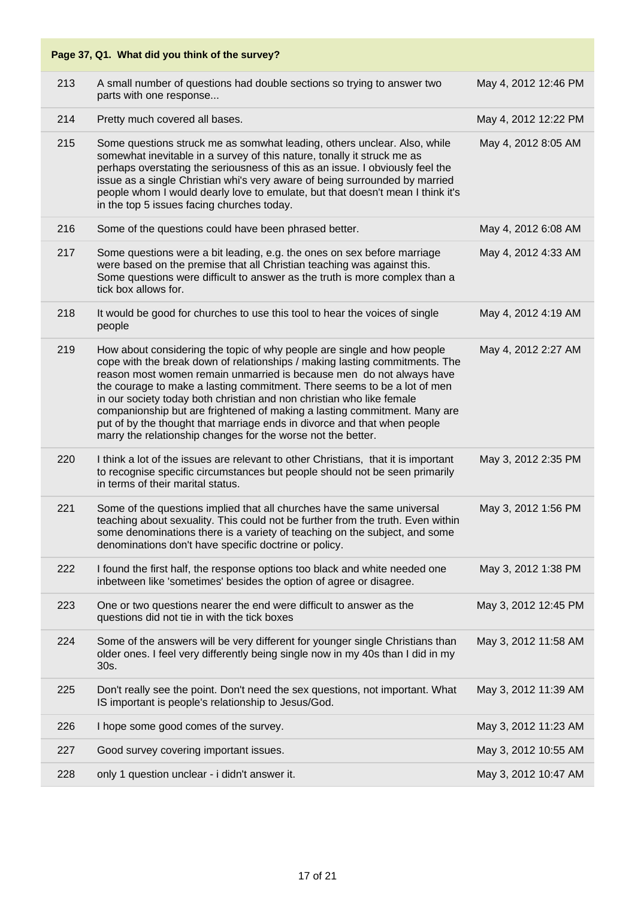| 213 | A small number of questions had double sections so trying to answer two<br>parts with one response                                                                                                                                                                                                                                                                                                                                                                                                                                                                                                           | May 4, 2012 12:46 PM |
|-----|--------------------------------------------------------------------------------------------------------------------------------------------------------------------------------------------------------------------------------------------------------------------------------------------------------------------------------------------------------------------------------------------------------------------------------------------------------------------------------------------------------------------------------------------------------------------------------------------------------------|----------------------|
| 214 | Pretty much covered all bases.                                                                                                                                                                                                                                                                                                                                                                                                                                                                                                                                                                               | May 4, 2012 12:22 PM |
| 215 | Some questions struck me as somwhat leading, others unclear. Also, while<br>somewhat inevitable in a survey of this nature, tonally it struck me as<br>perhaps overstating the seriousness of this as an issue. I obviously feel the<br>issue as a single Christian whi's very aware of being surrounded by married<br>people whom I would dearly love to emulate, but that doesn't mean I think it's<br>in the top 5 issues facing churches today.                                                                                                                                                          | May 4, 2012 8:05 AM  |
| 216 | Some of the questions could have been phrased better.                                                                                                                                                                                                                                                                                                                                                                                                                                                                                                                                                        | May 4, 2012 6:08 AM  |
| 217 | Some questions were a bit leading, e.g. the ones on sex before marriage<br>were based on the premise that all Christian teaching was against this.<br>Some questions were difficult to answer as the truth is more complex than a<br>tick box allows for.                                                                                                                                                                                                                                                                                                                                                    | May 4, 2012 4:33 AM  |
| 218 | It would be good for churches to use this tool to hear the voices of single<br>people                                                                                                                                                                                                                                                                                                                                                                                                                                                                                                                        | May 4, 2012 4:19 AM  |
| 219 | How about considering the topic of why people are single and how people<br>cope with the break down of relationships / making lasting commitments. The<br>reason most women remain unmarried is because men do not always have<br>the courage to make a lasting commitment. There seems to be a lot of men<br>in our society today both christian and non christian who like female<br>companionship but are frightened of making a lasting commitment. Many are<br>put of by the thought that marriage ends in divorce and that when people<br>marry the relationship changes for the worse not the better. | May 4, 2012 2:27 AM  |
| 220 | I think a lot of the issues are relevant to other Christians, that it is important<br>to recognise specific circumstances but people should not be seen primarily<br>in terms of their marital status.                                                                                                                                                                                                                                                                                                                                                                                                       | May 3, 2012 2:35 PM  |
| 221 | Some of the questions implied that all churches have the same universal<br>teaching about sexuality. This could not be further from the truth. Even within<br>some denominations there is a variety of teaching on the subject, and some<br>denominations don't have specific doctrine or policy.                                                                                                                                                                                                                                                                                                            | May 3, 2012 1:56 PM  |
| 222 | I found the first half, the response options too black and white needed one<br>inbetween like 'sometimes' besides the option of agree or disagree.                                                                                                                                                                                                                                                                                                                                                                                                                                                           | May 3, 2012 1:38 PM  |
| 223 | One or two questions nearer the end were difficult to answer as the<br>questions did not tie in with the tick boxes                                                                                                                                                                                                                                                                                                                                                                                                                                                                                          | May 3, 2012 12:45 PM |
| 224 | Some of the answers will be very different for younger single Christians than<br>older ones. I feel very differently being single now in my 40s than I did in my<br>30s.                                                                                                                                                                                                                                                                                                                                                                                                                                     | May 3, 2012 11:58 AM |
| 225 | Don't really see the point. Don't need the sex questions, not important. What<br>IS important is people's relationship to Jesus/God.                                                                                                                                                                                                                                                                                                                                                                                                                                                                         | May 3, 2012 11:39 AM |
| 226 | I hope some good comes of the survey.                                                                                                                                                                                                                                                                                                                                                                                                                                                                                                                                                                        | May 3, 2012 11:23 AM |
| 227 | Good survey covering important issues.                                                                                                                                                                                                                                                                                                                                                                                                                                                                                                                                                                       | May 3, 2012 10:55 AM |
| 228 | only 1 question unclear - i didn't answer it.                                                                                                                                                                                                                                                                                                                                                                                                                                                                                                                                                                | May 3, 2012 10:47 AM |
|     |                                                                                                                                                                                                                                                                                                                                                                                                                                                                                                                                                                                                              |                      |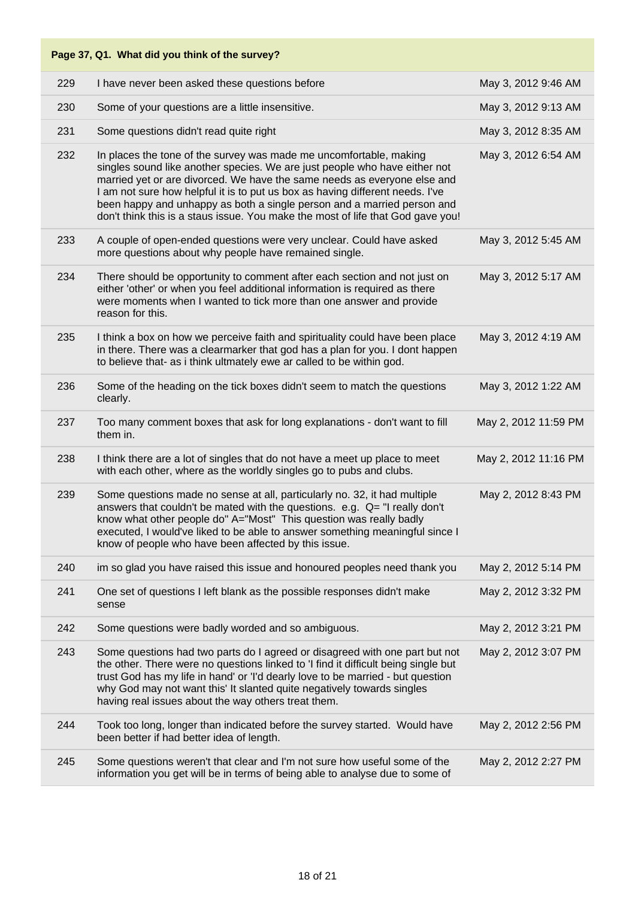#### **Page 37, Q1. What did you think of the survey?** 229 I have never been asked these questions before May 3, 2012 9:46 AM 230 Some of your questions are a little insensitive. May 3, 2012 9:13 AM 231 Some questions didn't read quite right May 3, 2012 8:35 AM 232 In places the tone of the survey was made me uncomfortable, making singles sound like another species. We are just people who have either not married yet or are divorced. We have the same needs as everyone else and I am not sure how helpful it is to put us box as having different needs. I've been happy and unhappy as both a single person and a married person and don't think this is a staus issue. You make the most of life that God gave you! May 3, 2012 6:54 AM 233 A couple of open-ended questions were very unclear. Could have asked more questions about why people have remained single. May 3, 2012 5:45 AM 234 There should be opportunity to comment after each section and not just on either 'other' or when you feel additional information is required as there were moments when I wanted to tick more than one answer and provide reason for this. May 3, 2012 5:17 AM 235 I think a box on how we perceive faith and spirituality could have been place in there. There was a clearmarker that god has a plan for you. I dont happen to believe that- as i think ultmately ewe ar called to be within god. May 3, 2012 4:19 AM 236 Some of the heading on the tick boxes didn't seem to match the questions clearly. May 3, 2012 1:22 AM 237 Too many comment boxes that ask for long explanations - don't want to fill them in. May 2, 2012 11:59 PM 238 I think there are a lot of singles that do not have a meet up place to meet with each other, where as the worldly singles go to pubs and clubs. May 2, 2012 11:16 PM 239 Some questions made no sense at all, particularly no. 32, it had multiple answers that couldn't be mated with the questions. e.g. Q= "I really don't know what other people do" A="Most" This question was really badly executed, I would've liked to be able to answer something meaningful since I know of people who have been affected by this issue. May 2, 2012 8:43 PM 240 im so glad you have raised this issue and honoured peoples need thank you May 2, 2012 5:14 PM 241 One set of questions I left blank as the possible responses didn't make sense May 2, 2012 3:32 PM 242 Some questions were badly worded and so ambiguous. May 2, 2012 3:21 PM 243 Some questions had two parts do I agreed or disagreed with one part but not the other. There were no questions linked to 'I find it difficult being single but trust God has my life in hand' or 'I'd dearly love to be married - but question why God may not want this' It slanted quite negatively towards singles having real issues about the way others treat them. May 2, 2012 3:07 PM 244 Took too long, longer than indicated before the survey started. Would have been better if had better idea of length. May 2, 2012 2:56 PM 245 Some questions weren't that clear and I'm not sure how useful some of the information you get will be in terms of being able to analyse due to some of May 2, 2012 2:27 PM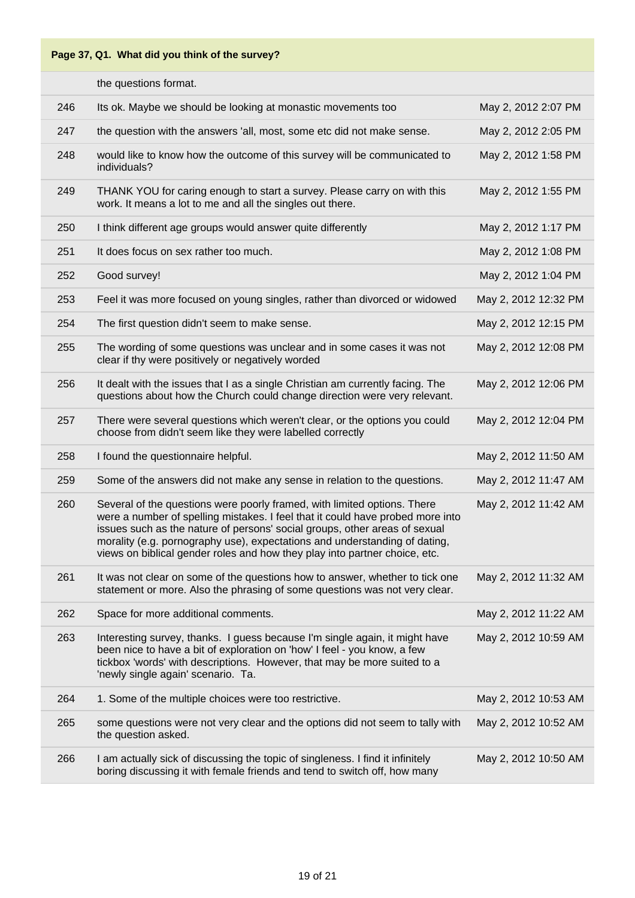|     | the questions format.                                                                                                                                                                                                                                                                                                                                                                                |                      |
|-----|------------------------------------------------------------------------------------------------------------------------------------------------------------------------------------------------------------------------------------------------------------------------------------------------------------------------------------------------------------------------------------------------------|----------------------|
| 246 | Its ok. Maybe we should be looking at monastic movements too                                                                                                                                                                                                                                                                                                                                         | May 2, 2012 2:07 PM  |
| 247 | the question with the answers 'all, most, some etc did not make sense.                                                                                                                                                                                                                                                                                                                               | May 2, 2012 2:05 PM  |
| 248 | would like to know how the outcome of this survey will be communicated to<br>individuals?                                                                                                                                                                                                                                                                                                            | May 2, 2012 1:58 PM  |
| 249 | THANK YOU for caring enough to start a survey. Please carry on with this<br>work. It means a lot to me and all the singles out there.                                                                                                                                                                                                                                                                | May 2, 2012 1:55 PM  |
| 250 | I think different age groups would answer quite differently                                                                                                                                                                                                                                                                                                                                          | May 2, 2012 1:17 PM  |
| 251 | It does focus on sex rather too much.                                                                                                                                                                                                                                                                                                                                                                | May 2, 2012 1:08 PM  |
| 252 | Good survey!                                                                                                                                                                                                                                                                                                                                                                                         | May 2, 2012 1:04 PM  |
| 253 | Feel it was more focused on young singles, rather than divorced or widowed                                                                                                                                                                                                                                                                                                                           | May 2, 2012 12:32 PM |
| 254 | The first question didn't seem to make sense.                                                                                                                                                                                                                                                                                                                                                        | May 2, 2012 12:15 PM |
| 255 | The wording of some questions was unclear and in some cases it was not<br>clear if thy were positively or negatively worded                                                                                                                                                                                                                                                                          | May 2, 2012 12:08 PM |
| 256 | It dealt with the issues that I as a single Christian am currently facing. The<br>questions about how the Church could change direction were very relevant.                                                                                                                                                                                                                                          | May 2, 2012 12:06 PM |
| 257 | There were several questions which weren't clear, or the options you could<br>choose from didn't seem like they were labelled correctly                                                                                                                                                                                                                                                              | May 2, 2012 12:04 PM |
| 258 | I found the questionnaire helpful.                                                                                                                                                                                                                                                                                                                                                                   | May 2, 2012 11:50 AM |
| 259 | Some of the answers did not make any sense in relation to the questions.                                                                                                                                                                                                                                                                                                                             | May 2, 2012 11:47 AM |
| 260 | Several of the questions were poorly framed, with limited options. There<br>were a number of spelling mistakes. I feel that it could have probed more into<br>issues such as the nature of persons' social groups, other areas of sexual<br>morality (e.g. pornography use), expectations and understanding of dating,<br>views on biblical gender roles and how they play into partner choice, etc. | May 2, 2012 11:42 AM |
| 261 | It was not clear on some of the questions how to answer, whether to tick one<br>statement or more. Also the phrasing of some questions was not very clear.                                                                                                                                                                                                                                           | May 2, 2012 11:32 AM |
| 262 | Space for more additional comments.                                                                                                                                                                                                                                                                                                                                                                  | May 2, 2012 11:22 AM |
| 263 | Interesting survey, thanks. I guess because I'm single again, it might have<br>been nice to have a bit of exploration on 'how' I feel - you know, a few<br>tickbox 'words' with descriptions. However, that may be more suited to a<br>'newly single again' scenario. Ta.                                                                                                                            | May 2, 2012 10:59 AM |
| 264 | 1. Some of the multiple choices were too restrictive.                                                                                                                                                                                                                                                                                                                                                | May 2, 2012 10:53 AM |
| 265 | some questions were not very clear and the options did not seem to tally with<br>the question asked.                                                                                                                                                                                                                                                                                                 | May 2, 2012 10:52 AM |
| 266 | I am actually sick of discussing the topic of singleness. I find it infinitely<br>boring discussing it with female friends and tend to switch off, how many                                                                                                                                                                                                                                          | May 2, 2012 10:50 AM |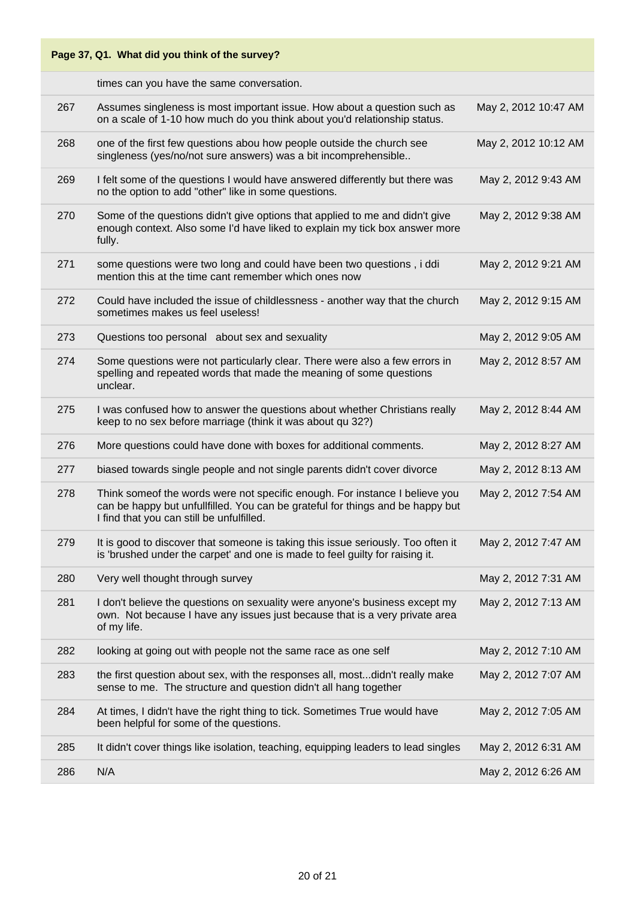| Page 37, Q1. What did you think of the survey? |                                                                                                                                                                                                            |                      |
|------------------------------------------------|------------------------------------------------------------------------------------------------------------------------------------------------------------------------------------------------------------|----------------------|
|                                                | times can you have the same conversation.                                                                                                                                                                  |                      |
| 267                                            | Assumes singleness is most important issue. How about a question such as<br>on a scale of 1-10 how much do you think about you'd relationship status.                                                      | May 2, 2012 10:47 AM |
| 268                                            | one of the first few questions abou how people outside the church see<br>singleness (yes/no/not sure answers) was a bit incomprehensible                                                                   | May 2, 2012 10:12 AM |
| 269                                            | I felt some of the questions I would have answered differently but there was<br>no the option to add "other" like in some questions.                                                                       | May 2, 2012 9:43 AM  |
| 270                                            | Some of the questions didn't give options that applied to me and didn't give<br>enough context. Also some I'd have liked to explain my tick box answer more<br>fully.                                      | May 2, 2012 9:38 AM  |
| 271                                            | some questions were two long and could have been two questions, i ddi<br>mention this at the time cant remember which ones now                                                                             | May 2, 2012 9:21 AM  |
| 272                                            | Could have included the issue of childlessness - another way that the church<br>sometimes makes us feel useless!                                                                                           | May 2, 2012 9:15 AM  |
| 273                                            | Questions too personal about sex and sexuality                                                                                                                                                             | May 2, 2012 9:05 AM  |
| 274                                            | Some questions were not particularly clear. There were also a few errors in<br>spelling and repeated words that made the meaning of some questions<br>unclear.                                             | May 2, 2012 8:57 AM  |
| 275                                            | I was confused how to answer the questions about whether Christians really<br>keep to no sex before marriage (think it was about qu 32?)                                                                   | May 2, 2012 8:44 AM  |
| 276                                            | More questions could have done with boxes for additional comments.                                                                                                                                         | May 2, 2012 8:27 AM  |
| 277                                            | biased towards single people and not single parents didn't cover divorce                                                                                                                                   | May 2, 2012 8:13 AM  |
| 278                                            | Think someof the words were not specific enough. For instance I believe you<br>can be happy but unfullfilled. You can be grateful for things and be happy but<br>I find that you can still be unfulfilled. | May 2, 2012 7:54 AM  |
| 279                                            | It is good to discover that someone is taking this issue seriously. Too often it<br>is 'brushed under the carpet' and one is made to feel guilty for raising it.                                           | May 2, 2012 7:47 AM  |
| 280                                            | Very well thought through survey                                                                                                                                                                           | May 2, 2012 7:31 AM  |
| 281                                            | I don't believe the questions on sexuality were anyone's business except my<br>own. Not because I have any issues just because that is a very private area<br>of my life.                                  | May 2, 2012 7:13 AM  |
| 282                                            | looking at going out with people not the same race as one self                                                                                                                                             | May 2, 2012 7:10 AM  |
| 283                                            | the first question about sex, with the responses all, mostdidn't really make<br>sense to me. The structure and question didn't all hang together                                                           | May 2, 2012 7:07 AM  |
| 284                                            | At times, I didn't have the right thing to tick. Sometimes True would have<br>been helpful for some of the questions.                                                                                      | May 2, 2012 7:05 AM  |
| 285                                            | It didn't cover things like isolation, teaching, equipping leaders to lead singles                                                                                                                         | May 2, 2012 6:31 AM  |
| 286                                            | N/A                                                                                                                                                                                                        | May 2, 2012 6:26 AM  |